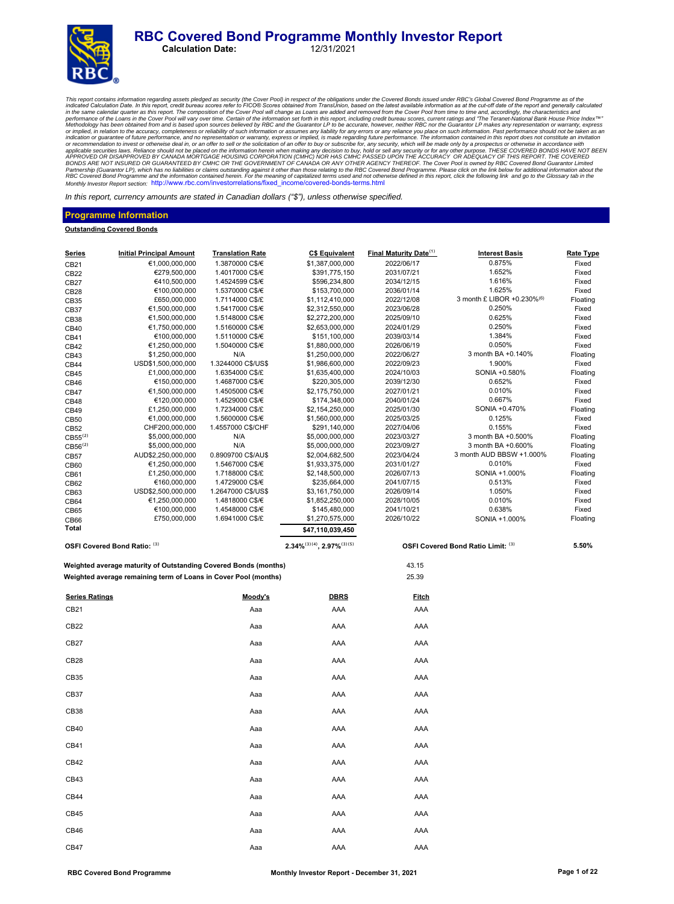#### **RBC Covered Bond Programme Monthly Investor Report**<br>Calculation Date: 12/31/2021 **Calculation Date:**



This report contains information regarding assets pledged as security (the Cover Pool) in respect of the obligations under the Covered Bond issued in of the Cover and the cut-off date of the report and generally calculated Partnership (Guarantor LP), which has no liabilities or claims outstanding against it other than those relating to the RBC Covered Bond Programme. Please click on the link below for additional information about the<br>RBC Cov

In this report, currency amounts are stated in Canadian dollars *("\$"),* unless otherwise specified.

#### **Programme Information**

#### **Outstanding Covered Bonds**

| <b>Series</b>         | <b>Initial Principal Amount</b>                                 | <b>Translation Rate</b> | <b>C\$ Equivalent</b>                 | <b>Final Maturity Date</b> <sup>(1)</sup> | <b>Interest Basis</b>                  | Rate Type |
|-----------------------|-----------------------------------------------------------------|-------------------------|---------------------------------------|-------------------------------------------|----------------------------------------|-----------|
| CB21                  | €1,000,000,000                                                  | 1.3870000 C\$/€         | \$1,387,000,000                       | 2022/06/17                                | 0.875%                                 | Fixed     |
| CB <sub>22</sub>      | €279,500,000                                                    | 1.4017000 C\$/€         | \$391,775,150                         | 2031/07/21                                | 1.652%                                 | Fixed     |
| CB <sub>27</sub>      | €410,500,000                                                    | 1.4524599 C\$/€         | \$596,234,800                         | 2034/12/15                                | 1.616%                                 | Fixed     |
| CB <sub>28</sub>      | €100,000,000                                                    | 1.5370000 C\$/€         | \$153,700,000                         | 2036/01/14                                | 1.625%                                 | Fixed     |
| CB35                  | £650,000,000                                                    | 1.7114000 C\$/£         | \$1,112,410,000                       | 2022/12/08                                | 3 month £ LIBOR +0.230% <sup>(6)</sup> | Floating  |
| CB37                  | €1,500,000,000                                                  | 1.5417000 C\$/€         | \$2,312,550,000                       | 2023/06/28                                | 0.250%                                 | Fixed     |
| CB <sub>38</sub>      | €1,500,000,000                                                  | 1.5148000 C\$/€         | \$2,272,200,000                       | 2025/09/10                                | 0.625%                                 | Fixed     |
| CB40                  | €1,750,000,000                                                  | 1.5160000 C\$/€         | \$2,653,000,000                       | 2024/01/29                                | 0.250%                                 | Fixed     |
| CB41                  | €100,000,000                                                    | 1.5110000 C\$/€         | \$151,100,000                         | 2039/03/14                                | 1.384%                                 | Fixed     |
| CB42                  | €1,250,000,000                                                  | 1.5040000 C\$/€         | \$1,880,000,000                       | 2026/06/19                                | 0.050%                                 | Fixed     |
| CB43                  | \$1,250,000,000                                                 | N/A                     | \$1,250,000,000                       | 2022/06/27                                | 3 month BA +0.140%                     | Floating  |
| CB44                  | USD\$1,500,000,000                                              | 1.3244000 C\$/US\$      | \$1,986,600,000                       | 2022/09/23                                | 1.900%                                 | Fixed     |
| CB45                  | £1,000,000,000                                                  | 1.6354000 C\$/£         | \$1,635,400,000                       | 2024/10/03                                | SONIA +0.580%                          | Floating  |
| CB46                  | €150,000,000                                                    | 1.4687000 C\$/€         | \$220,305,000                         | 2039/12/30                                | 0.652%                                 | Fixed     |
| CB47                  | €1,500,000,000                                                  | 1.4505000 C\$/€         | \$2,175,750,000                       | 2027/01/21                                | 0.010%                                 | Fixed     |
| CB48                  | €120,000,000                                                    | 1.4529000 C\$/€         | \$174,348,000                         | 2040/01/24                                | 0.667%                                 | Fixed     |
| CB49                  | £1,250,000,000                                                  | 1.7234000 C\$/£         | \$2,154,250,000                       | 2025/01/30                                | SONIA +0.470%                          | Floating  |
| CB50                  | €1,000,000,000                                                  | 1.5600000 C\$/€         | \$1,560,000,000                       | 2025/03/25                                | 0.125%                                 | Fixed     |
| CB52                  | CHF200,000,000                                                  | 1.4557000 C\$/CHF       | \$291,140,000                         | 2027/04/06                                | 0.155%                                 | Fixed     |
| $CB55^{(2)}$          | \$5,000,000,000                                                 | N/A                     | \$5,000,000,000                       | 2023/03/27                                | 3 month BA +0.500%                     | Floating  |
| $CB56^{(2)}$          | \$5,000,000,000                                                 | N/A                     | \$5,000,000,000                       | 2023/09/27                                | 3 month BA +0.600%                     | Floating  |
| CB57                  | AUD\$2,250,000,000                                              | 0.8909700 C\$/AU\$      | \$2,004,682,500                       | 2023/04/24                                | 3 month AUD BBSW +1.000%               | Floating  |
| CB60                  | €1,250,000,000                                                  | 1.5467000 C\$/€         | \$1,933,375,000                       | 2031/01/27                                | 0.010%                                 | Fixed     |
| CB61                  | £1,250,000,000                                                  | 1.7188000 C\$/£         | \$2,148,500,000                       | 2026/07/13                                | SONIA +1.000%                          | Floating  |
| CB62                  | €160,000,000                                                    | 1.4729000 C\$/€         | \$235,664,000                         | 2041/07/15                                | 0.513%                                 | Fixed     |
| CB63                  | USD\$2,500,000,000                                              | 1.2647000 C\$/US\$      | \$3,161,750,000                       | 2026/09/14                                | 1.050%                                 | Fixed     |
| CB64                  | €1,250,000,000                                                  | 1.4818000 C\$/€         | \$1,852,250,000                       | 2028/10/05                                | 0.010%                                 | Fixed     |
| CB65                  | €100,000,000                                                    | 1.4548000 C\$/€         | \$145,480,000                         | 2041/10/21                                | 0.638%                                 | Fixed     |
| CB66                  | £750,000,000                                                    | 1.6941000 C\$/£         | \$1,270,575,000                       | 2026/10/22                                | SONIA +1.000%                          | Floating  |
| Total                 |                                                                 |                         | \$47,110,039,450                      |                                           |                                        |           |
|                       | OSFI Covered Bond Ratio: (3)                                    |                         | $2.34\%^{(3)(4)}$ , $2.97\%^{(3)(5)}$ |                                           | OSFI Covered Bond Ratio Limit: (3)     | 5.50%     |
|                       |                                                                 |                         |                                       |                                           |                                        |           |
|                       | Weighted average maturity of Outstanding Covered Bonds (months) |                         |                                       | 43.15                                     |                                        |           |
|                       | Weighted average remaining term of Loans in Cover Pool (months) |                         |                                       | 25.39                                     |                                        |           |
| <b>Series Ratings</b> |                                                                 | <u>Moody's</u>          | <b>DBRS</b>                           | <u>Fitch</u>                              |                                        |           |
| CB21                  |                                                                 | Aaa                     | AAA                                   | AAA                                       |                                        |           |
| CB22                  |                                                                 | Aaa                     | AAA                                   | AAA                                       |                                        |           |
| CB27                  |                                                                 | Aaa                     | AAA                                   | AAA                                       |                                        |           |
| CB <sub>28</sub>      |                                                                 | Aaa                     | AAA                                   | AAA                                       |                                        |           |
| CB35                  |                                                                 | Aaa                     | AAA                                   | AAA                                       |                                        |           |
| CB37                  |                                                                 | Aaa                     | AAA                                   | AAA                                       |                                        |           |
| CB38                  |                                                                 | Aaa                     | AAA                                   | AAA                                       |                                        |           |
| CB40                  |                                                                 | Aaa                     | AAA                                   | AAA                                       |                                        |           |
| CB41                  |                                                                 | Aaa                     | AAA                                   | AAA                                       |                                        |           |
| CB42                  |                                                                 | Aaa                     | AAA                                   | AAA                                       |                                        |           |
| CB43                  |                                                                 | Aaa                     | AAA                                   | AAA                                       |                                        |           |
| CB44                  |                                                                 | Aaa                     | AAA                                   | AAA                                       |                                        |           |
|                       |                                                                 |                         |                                       |                                           |                                        |           |
| CB45                  |                                                                 | Aaa                     | AAA                                   | AAA                                       |                                        |           |
| CB46                  |                                                                 | Aaa                     | AAA                                   | AAA                                       |                                        |           |
| CB47                  |                                                                 | Aaa                     | AAA                                   | AAA                                       |                                        |           |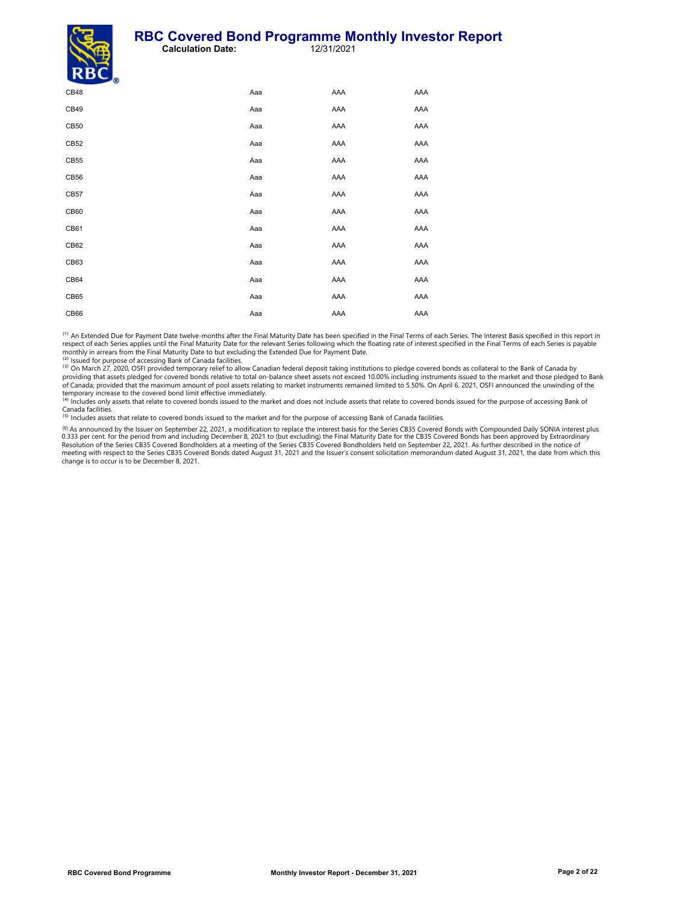#### **RBC Covered Bond Programme Monthly Investor Report**<br>Calculation Date: 12/31/2021 **Calculation Date:**



| $\mathbf{A}$ |     |     |     |
|--------------|-----|-----|-----|
| CB48         | Aaa | AAA | AAA |
| CB49         | Aaa | AAA | AAA |
| CB50         | Aaa | AAA | AAA |
| CB52         | Aaa | AAA | AAA |
| CB55         | Aaa | AAA | AAA |
| CB56         | Aaa | AAA | AAA |
| CB57         | Aaa | AAA | AAA |
| CB60         | Aaa | AAA | AAA |
| CB61         | Aaa | AAA | AAA |
| CB62         | Aaa | AAA | AAA |
| CB63         | Aaa | AAA | AAA |
| CB64         | Aaa | AAA | AAA |
| CB65         | Aaa | AAA | AAA |
| CB66         | Aaa | AAA | AAA |
|              |     |     |     |

<sup>(1)</sup> An Extended Due for Payment Date twelve-months after the Final Maturity Date has been specified in the Final Terms of each Series. The Interest Basis specified in this report in respect of each Series applies until the Final Maturity Date for the relevant Series following which the floating rate of interest specified in the Final Terms of each Series is payable monthly in arrears from the Final Maturity Date to but excluding the Extended Due for Payment Date.<br><sup>(2)</sup> Issued for purpose of accessing Bank of Canada facilities.

<sup>(3)</sup> On March 27, 2020, OSFI provided temporary relief to allow Canadian federal deposit taking institutions to pledge covered bonds as collateral to the Bank of Canada by<br>providing that assets pledged for covered bonds r of Canada; provided that the maximum amount of pool assets relating to market instruments remained limited to 5.50%. On April 6, 2021, OSFI announced the unwinding of the

temporary increase to the covered bond limit effective immediately.<br><sup>(4)</sup> Includes only assets that relate to covered bonds issued to the market and does not include assets that relate to covered bonds issued for the purpo

Canada facilities.<br><sup>(5)</sup> Includes assets that relate to covered bonds issued to the market and for the purpose of accessing Bank of Canada facilities.

<sup>(6)</sup> As announced by the Issuer on September 22, 2021, a modification to replace the interest basis for the Series CB35 Covered Bonds with Compounded Daily SONIA interest plus<br>0.333 per cent. for the period from and inclu Resolution of the Series CB35 Covered Bondholders at a meeting of the Series CB35 Covered Bondholders held on September 22, 2021. As further described in the notice of<br>meeting with respect to the Series CB35 Covered Bonds change is to occur is to be December 8, 2021.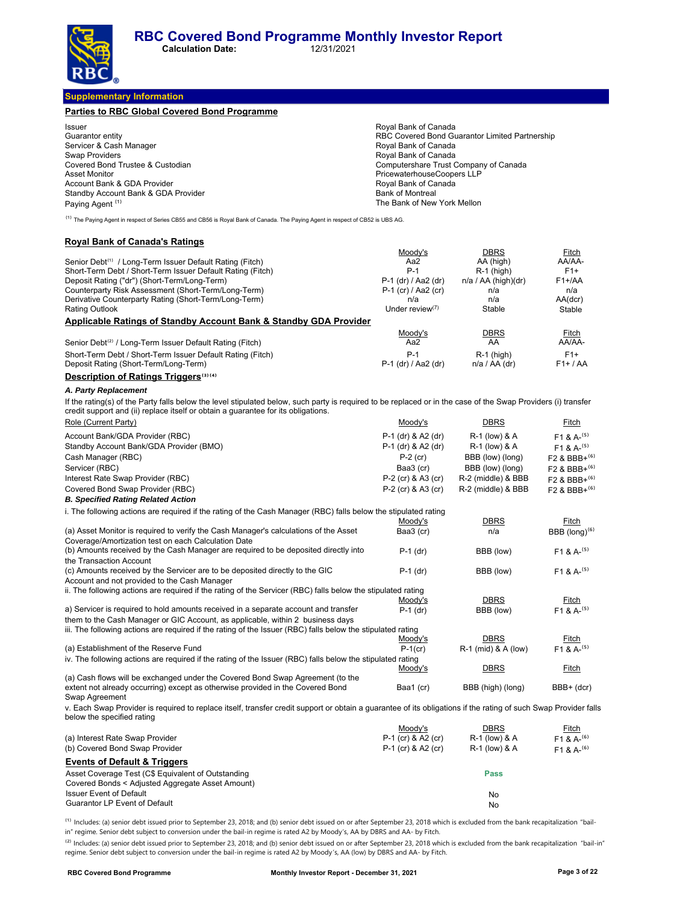**Calculation Date:** 12/31/2021

**Supplementary Information**

| <b>Parties to RBC Global Covered Bond Programme</b> |                                                |
|-----------------------------------------------------|------------------------------------------------|
| <b>Issuer</b>                                       | Royal Bank of Canada                           |
| Guarantor entity                                    | RBC Covered Bond Guarantor Limited Partnership |
| Servicer & Cash Manager                             | Royal Bank of Canada                           |
| <b>Swap Providers</b>                               | Royal Bank of Canada                           |
| Covered Bond Trustee & Custodian                    | Computershare Trust Company of Canada          |
| <b>Asset Monitor</b>                                | PricewaterhouseCoopers LLP                     |
| Account Bank & GDA Provider                         | Royal Bank of Canada                           |
| Standby Account Bank & GDA Provider                 | <b>Bank of Montreal</b>                        |
| Paying Agent <sup>(1)</sup>                         | The Bank of New York Mellon                    |

<sup>(1)</sup> The Paying Agent in respect of Series CB55 and CB56 is Royal Bank of Canada. The Paying Agent in respect of CB52 is UBS AG.

#### **Royal Bank of Canada's Ratings**

|                                                                                                                                                                                                                                                    | Moody's               | <b>DBRS</b>           | Fitch      |
|----------------------------------------------------------------------------------------------------------------------------------------------------------------------------------------------------------------------------------------------------|-----------------------|-----------------------|------------|
| Senior Debt <sup>(1)</sup> / Long-Term Issuer Default Rating (Fitch)                                                                                                                                                                               | Aa2                   | AA (high)             | AA/AA-     |
| Short-Term Debt / Short-Term Issuer Default Rating (Fitch)                                                                                                                                                                                         | P-1                   | $R-1$ (high)          | $F1+$      |
| Deposit Rating ("dr") (Short-Term/Long-Term)                                                                                                                                                                                                       | P-1 (dr) / Aa2 (dr)   | $n/a / AA$ (high)(dr) | $F1+AA$    |
| Counterparty Risk Assessment (Short-Term/Long-Term)                                                                                                                                                                                                | $P-1$ (cr) / Aa2 (cr) | n/a                   | n/a        |
| Derivative Counterparty Rating (Short-Term/Long-Term)                                                                                                                                                                                              | n/a                   | n/a                   | AA(dcr)    |
| <b>Rating Outlook</b>                                                                                                                                                                                                                              | Under review $(7)$    | Stable                | Stable     |
| <b>Applicable Ratings of Standby Account Bank &amp; Standby GDA Provider</b>                                                                                                                                                                       |                       |                       |            |
|                                                                                                                                                                                                                                                    | Moody's               | <b>DBRS</b>           | Fitch      |
| Senior Debt <sup>(2)</sup> / Long-Term Issuer Default Rating (Fitch)                                                                                                                                                                               | Aa2                   | AA                    | AA/AA-     |
| Short-Term Debt / Short-Term Issuer Default Rating (Fitch)                                                                                                                                                                                         | $P-1$                 | $R-1$ (high)          | $F1+$      |
| Deposit Rating (Short-Term/Long-Term)                                                                                                                                                                                                              | P-1 (dr) / Aa2 (dr)   | $n/a / AA$ (dr)       | $F1+ / AA$ |
| Description of Ratings Triggers <sup>(3)(4)</sup>                                                                                                                                                                                                  |                       |                       |            |
| A. Party Replacement                                                                                                                                                                                                                               |                       |                       |            |
| If the rating(s) of the Party falls below the level stipulated below, such party is required to be replaced or in the case of the Swap Providers (i) transfer<br>credit support and (ii) replace itself or obtain a quarantee for its obligations. |                       |                       |            |

| Role (Current Party)                                                                                                                                            | Moody's            | <b>DBRS</b>         | Fitch                      |
|-----------------------------------------------------------------------------------------------------------------------------------------------------------------|--------------------|---------------------|----------------------------|
| Account Bank/GDA Provider (RBC)                                                                                                                                 | P-1 (dr) & A2 (dr) | R-1 (low) & A       | $F1 & A^{- (5)}$           |
| Standby Account Bank/GDA Provider (BMO)                                                                                                                         | P-1 (dr) & A2 (dr) | R-1 (low) & A       | $F1 & A-(5)$               |
| Cash Manager (RBC)                                                                                                                                              | $P-2$ (cr)         | BBB (low) (long)    | $F2$ & BBB+ <sup>(6)</sup> |
| Servicer (RBC)                                                                                                                                                  | Baa3 (cr)          | BBB (low) (long)    | $F2$ & BBB+ <sup>(6)</sup> |
| Interest Rate Swap Provider (RBC)                                                                                                                               | P-2 (cr) & A3 (cr) | R-2 (middle) & BBB  | F2 & BBB+(6)               |
| Covered Bond Swap Provider (RBC)                                                                                                                                | P-2 (cr) & A3 (cr) | R-2 (middle) & BBB  | F2 & BBB+(6)               |
| <b>B. Specified Rating Related Action</b>                                                                                                                       |                    |                     |                            |
| i. The following actions are required if the rating of the Cash Manager (RBC) falls below the stipulated rating                                                 |                    |                     |                            |
|                                                                                                                                                                 | Moody's            | <b>DBRS</b>         | Fitch                      |
| (a) Asset Monitor is required to verify the Cash Manager's calculations of the Asset                                                                            | Baa3 (cr)          | n/a                 | BBB $(long)^{(6)}$         |
| Coverage/Amortization test on each Calculation Date                                                                                                             |                    |                     |                            |
| (b) Amounts received by the Cash Manager are required to be deposited directly into                                                                             | $P-1$ (dr)         | BBB (low)           | $F1 & A-(5)$               |
| the Transaction Account                                                                                                                                         |                    |                     |                            |
| (c) Amounts received by the Servicer are to be deposited directly to the GIC                                                                                    | $P-1$ (dr)         | BBB (low)           | $F1 & A-(5)$               |
| Account and not provided to the Cash Manager<br>ii. The following actions are required if the rating of the Servicer (RBC) falls below the stipulated rating    |                    |                     |                            |
|                                                                                                                                                                 | Moody's            | <b>DBRS</b>         | Fitch                      |
| a) Servicer is required to hold amounts received in a separate account and transfer                                                                             | $P-1$ (dr)         | BBB (low)           | $F1 & A-(5)$               |
| them to the Cash Manager or GIC Account, as applicable, within 2 business days                                                                                  |                    |                     |                            |
| iii. The following actions are required if the rating of the Issuer (RBC) falls below the stipulated rating                                                     |                    |                     |                            |
|                                                                                                                                                                 | Moody's            | <b>DBRS</b>         | Fitch                      |
| (a) Establishment of the Reserve Fund                                                                                                                           | $P-1$ (cr)         | R-1 (mid) & A (low) | $F1 & A-(5)$               |
| iv. The following actions are required if the rating of the Issuer (RBC) falls below the stipulated rating                                                      |                    |                     |                            |
| (a) Cash flows will be exchanged under the Covered Bond Swap Agreement (to the                                                                                  | Moody's            | <b>DBRS</b>         | Fitch                      |
| extent not already occurring) except as otherwise provided in the Covered Bond                                                                                  | Baa1 (cr)          | BBB (high) (long)   | BBB+ (dcr)                 |
| Swap Agreement                                                                                                                                                  |                    |                     |                            |
| v. Each Swap Provider is required to replace itself, transfer credit support or obtain a guarantee of its obligations if the rating of such Swap Provider falls |                    |                     |                            |
| below the specified rating                                                                                                                                      |                    |                     |                            |

|                                                    | Moody's            | <b>DBRS</b>              | Fitch          |
|----------------------------------------------------|--------------------|--------------------------|----------------|
| (a) Interest Rate Swap Provider                    | P-1 (cr) & A2 (cr) | <b>R-1 (low) &amp; A</b> | $F1 \& A^{-6}$ |
| (b) Covered Bond Swap Provider                     | P-1 (cr) & A2 (cr) | <b>R-1 (low) &amp; A</b> | $F1 \& A^{-6}$ |
| <b>Events of Default &amp; Triggers</b>            |                    |                          |                |
| Asset Coverage Test (C\$ Equivalent of Outstanding |                    | <b>Pass</b>              |                |
| Covered Bonds < Adjusted Aggregate Asset Amount)   |                    |                          |                |
| <b>Issuer Event of Default</b>                     |                    | No                       |                |
| Guarantor LP Event of Default                      |                    | No                       |                |

<sup>(1)</sup> Includes: (a) senior debt issued prior to September 23, 2018; and (b) senior debt issued on or after September 23, 2018 which is excluded from the bank recapitalization "bailin" regime. Senior debt subject to conversion under the bail-in regime is rated A2 by Moody's, AA by DBRS and AA- by Fitch.

<sup>(2)</sup> Includes: (a) senior debt issued prior to September 23, 2018; and (b) senior debt issued on or after September 23, 2018 which is excluded from the bank recapitalization "bail-in" regime. Senior debt subject to conversion under the bail-in regime is rated A2 by Moody 's, AA (low) by DBRS and AA- by Fitch.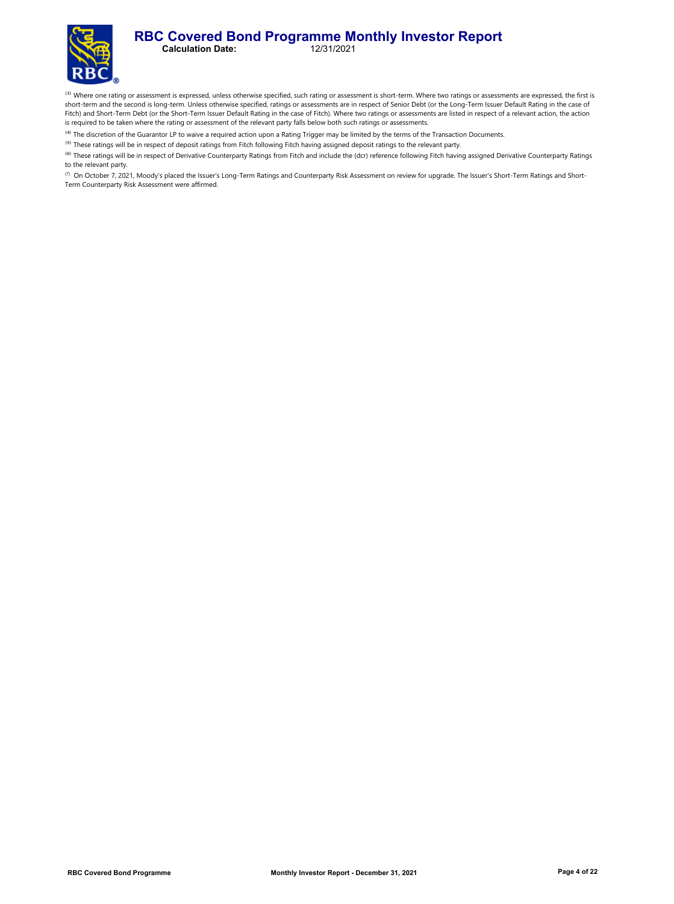#### **RBC Covered Bond Programme Monthly Investor Report**<br>Calculation Date: 12/31/2021 **Calculation Date:**

<sup>(3)</sup> Where one rating or assessment is expressed, unless otherwise specified, such rating or assessment is short-term. Where two ratings or assessments are expressed, the first is short-term and the second is long-term. Unless otherwise specified, ratings or assessments are in respect of Senior Debt (or the Long-Term Issuer Default Rating in the case of Fitch) and Short-Term Debt (or the Short-Term Issuer Default Rating in the case of Fitch). Where two ratings or assessments are listed in respect of a relevant action, the action is required to be taken where the rating or assessment of the relevant party falls below both such ratings or assessments.

<sup>(4)</sup> The discretion of the Guarantor LP to waive a required action upon a Rating Trigger may be limited by the terms of the Transaction Documents.

<sup>(5)</sup> These ratings will be in respect of deposit ratings from Fitch following Fitch having assigned deposit ratings to the relevant party.

<sup>(6)</sup> These ratings will be in respect of Derivative Counterparty Ratings from Fitch and include the (dcr) reference following Fitch having assigned Derivative Counterparty Ratings to the relevant party.

(7) On October 7, 2021, Moody's placed the Issuer's Long-Term Ratings and Counterparty Risk Assessment on review for upgrade. The Issuer's Short-Term Ratings and Short-Term Counterparty Risk Assessment were affirmed.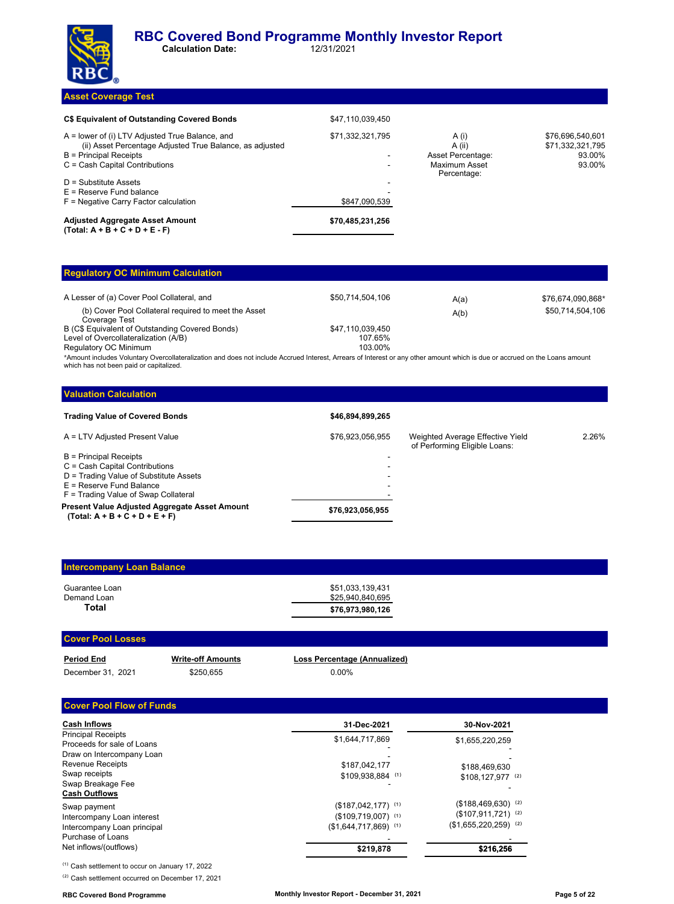

**Calculation Date:** 

#### **Asset Coverage Test**

| C\$ Equivalent of Outstanding Covered Bonds                                                                                                                             | \$47.110.039.450 |                                                                      |                                                          |
|-------------------------------------------------------------------------------------------------------------------------------------------------------------------------|------------------|----------------------------------------------------------------------|----------------------------------------------------------|
| A = lower of (i) LTV Adjusted True Balance, and<br>(ii) Asset Percentage Adjusted True Balance, as adjusted<br>B = Principal Receipts<br>C = Cash Capital Contributions | \$71,332,321,795 | A (i)<br>A (ii)<br>Asset Percentage:<br>Maximum Asset<br>Percentage: | \$76.696.540.601<br>\$71,332,321,795<br>93.00%<br>93.00% |
| $D =$ Substitute Assets<br>$E =$ Reserve Fund balance<br>$F =$ Negative Carry Factor calculation                                                                        | \$847.090.539    |                                                                      |                                                          |
| <b>Adjusted Aggregate Asset Amount</b><br>$(Total: A + B + C + D + E - F)$                                                                                              | \$70.485.231.256 |                                                                      |                                                          |

## **Regulatory OC Minimum Calculation**

| A Lesser of (a) Cover Pool Collateral, and                            | \$50.714.504.106 | A(a) | \$76,674,090,868* |
|-----------------------------------------------------------------------|------------------|------|-------------------|
| (b) Cover Pool Collateral required to meet the Asset<br>Coverage Test |                  | A(b) | \$50,714,504,106  |
| B (C\$ Equivalent of Outstanding Covered Bonds)                       | \$47.110.039.450 |      |                   |
| Level of Overcollateralization (A/B)                                  | 107.65%          |      |                   |
| Regulatory OC Minimum                                                 | 103.00%          |      |                   |
|                                                                       |                  |      |                   |

\*Amount includes Voluntary Overcollateralization and does not include Accrued Interest, Arrears of Interest or any other amount which is due or accrued on the Loans amount which has not been paid or capitalized.

#### **Valuation Calculation Trading Value of Covered Bonds \$46,894,899,265** A = LTV Adjusted Present Value **\$76,923,056,955** Weighted Average Effective Yield of Performing Eligible Loans: 2.26% B = Principal Receipts C = Cash Capital Contributions - D = Trading Value of Substitute Assets  $E =$  Reserve Fund Balance F = Trading Value of Swap Collateral **\$76,923,056,955 Present Value Adjusted Aggregate Asset Amount (Total: A + B + C + D + E + F)**

| <b>Intercompany Loan Balance</b> |                                      |
|----------------------------------|--------------------------------------|
| Guarantee Loan<br>Demand Loan    | \$51.033.139.431<br>\$25.940.840.695 |
| Total                            | \$76,973,980,126                     |

#### **Cover Pool Losses**

| <b>Period End</b> |  |
|-------------------|--|
| December 31 2021  |  |

ecember 31, 2021 \$250,655 0.00%

# **Write-off Amounts Loss Percentage (Annualized)**

#### **Cover Pool Flow of Funds**

| <b>Cash Inflows</b>                                                                            | 31-Dec-2021                                                                                             | 30-Nov-2021                                                                       |
|------------------------------------------------------------------------------------------------|---------------------------------------------------------------------------------------------------------|-----------------------------------------------------------------------------------|
| <b>Principal Receipts</b><br>Proceeds for sale of Loans<br>Draw on Intercompany Loan           | \$1,644,717,869                                                                                         | \$1,655,220,259                                                                   |
| <b>Revenue Receipts</b><br>Swap receipts<br>Swap Breakage Fee<br><b>Cash Outflows</b>          | \$187,042,177<br>\$109,938,884 (1)                                                                      | \$188,469,630<br>\$108.127.977 (2)                                                |
| Swap payment<br>Intercompany Loan interest<br>Intercompany Loan principal<br>Purchase of Loans | $($187,042,177)$ <sup>(1)</sup><br>$($109,719,007)$ <sup>(1)</sup><br>$(S1.644.717.869)$ <sup>(1)</sup> | $($188,469,630)$ <sup>(2)</sup><br>$($107,911,721)$ (2)<br>$($1,655,220,259)$ (2) |
| Net inflows/(outflows)                                                                         | \$219,878                                                                                               | \$216,256                                                                         |

<sup>(1)</sup> Cash settlement to occur on January 17, 2022

<sup>(2)</sup> Cash settlement occurred on December 17, 2021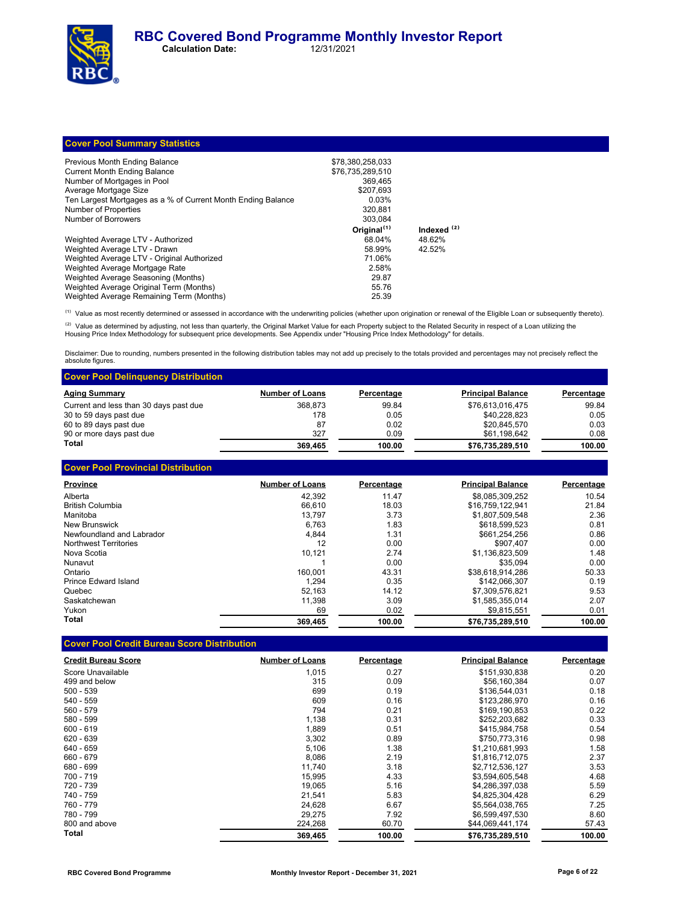| <b>Cover Pool Summary Statistics</b>                         |                         |                        |
|--------------------------------------------------------------|-------------------------|------------------------|
| Previous Month Ending Balance                                | \$78,380,258,033        |                        |
| <b>Current Month Ending Balance</b>                          | \$76,735,289,510        |                        |
| Number of Mortgages in Pool                                  | 369.465                 |                        |
| Average Mortgage Size                                        | \$207.693               |                        |
| Ten Largest Mortgages as a % of Current Month Ending Balance | 0.03%                   |                        |
| Number of Properties                                         | 320.881                 |                        |
| Number of Borrowers                                          | 303.084                 |                        |
|                                                              | Original <sup>(1)</sup> | Indexed <sup>(2)</sup> |
| Weighted Average LTV - Authorized                            | 68.04%                  | 48.62%                 |
| Weighted Average LTV - Drawn                                 | 58.99%                  | 42.52%                 |
| Weighted Average LTV - Original Authorized                   | 71.06%                  |                        |
| Weighted Average Mortgage Rate                               | 2.58%                   |                        |
| Weighted Average Seasoning (Months)                          | 29.87                   |                        |
| Weighted Average Original Term (Months)                      | 55.76                   |                        |
| Weighted Average Remaining Term (Months)                     | 25.39                   |                        |

<sup>(1)</sup> Value as most recently determined or assessed in accordance with the underwriting policies (whether upon origination or renewal of the Eligible Loan or subsequently thereto).

<sup>(2)</sup> Value as determined by adjusting, not less than quarterly, the Original Market Value for each Property subject to the Related Security in respect of a Loan utilizing the<br>Housing Price Index Methodology for subsequent

Disclaimer: Due to rounding, numbers presented in the following distribution tables may not add up precisely to the totals provided and percentages may not precisely reflect the absolute figures

| <b>Cover Pool Delinguency Distribution</b> |                        |            |                          |            |
|--------------------------------------------|------------------------|------------|--------------------------|------------|
| <b>Aging Summary</b>                       | <b>Number of Loans</b> | Percentage | <b>Principal Balance</b> | Percentage |
| Current and less than 30 days past due     | 368.873                | 99.84      | \$76.613.016.475         | 99.84      |
| 30 to 59 days past due                     | 178                    | 0.05       | \$40.228.823             | 0.05       |
| 60 to 89 days past due                     | 87                     | 0.02       | \$20.845.570             | 0.03       |
| 90 or more days past due                   | 327                    | 0.09       | \$61,198,642             | 0.08       |
| <b>Total</b>                               | 369.465                | 100.00     | \$76,735,289,510         | 100.00     |

| <b>Cover Pool Provincial Distribution</b> |                        |            |                          |            |
|-------------------------------------------|------------------------|------------|--------------------------|------------|
| <b>Province</b>                           | <b>Number of Loans</b> | Percentage | <b>Principal Balance</b> | Percentage |
| Alberta                                   | 42.392                 | 11.47      | \$8,085,309,252          | 10.54      |
| <b>British Columbia</b>                   | 66.610                 | 18.03      | \$16,759,122,941         | 21.84      |
| Manitoba                                  | 13.797                 | 3.73       | \$1.807.509.548          | 2.36       |
| New Brunswick                             | 6.763                  | 1.83       | \$618,599,523            | 0.81       |
| Newfoundland and Labrador                 | 4.844                  | 1.31       | \$661,254,256            | 0.86       |
| <b>Northwest Territories</b>              | 12                     | 0.00       | \$907.407                | 0.00       |
| Nova Scotia                               | 10.121                 | 2.74       | \$1.136.823.509          | 1.48       |
| Nunavut                                   |                        | 0.00       | \$35.094                 | 0.00       |
| Ontario                                   | 160.001                | 43.31      | \$38.618.914.286         | 50.33      |
| Prince Edward Island                      | 1.294                  | 0.35       | \$142.066.307            | 0.19       |
| Quebec                                    | 52.163                 | 14.12      | \$7.309.576.821          | 9.53       |
| Saskatchewan                              | 11.398                 | 3.09       | \$1,585,355,014          | 2.07       |
| Yukon                                     | 69                     | 0.02       | \$9.815.551              | 0.01       |
| Total                                     | 369,465                | 100.00     | \$76,735,289,510         | 100.00     |

### **Cover Pool Credit Bureau Score Distribution**

Weighted Average Remaining Term (Months)

| <b>Credit Bureau Score</b> | <b>Number of Loans</b> | Percentage | <b>Principal Balance</b> | Percentage |
|----------------------------|------------------------|------------|--------------------------|------------|
| Score Unavailable          | 1,015                  | 0.27       | \$151,930,838            | 0.20       |
| 499 and below              | 315                    | 0.09       | \$56.160.384             | 0.07       |
| $500 - 539$                | 699                    | 0.19       | \$136,544,031            | 0.18       |
| 540 - 559                  | 609                    | 0.16       | \$123,286,970            | 0.16       |
| 560 - 579                  | 794                    | 0.21       | \$169,190,853            | 0.22       |
| 580 - 599                  | 1,138                  | 0.31       | \$252,203,682            | 0.33       |
| $600 - 619$                | 1,889                  | 0.51       | \$415,984,758            | 0.54       |
| 620 - 639                  | 3,302                  | 0.89       | \$750.773.316            | 0.98       |
| 640 - 659                  | 5,106                  | 1.38       | \$1,210,681,993          | 1.58       |
| 660 - 679                  | 8,086                  | 2.19       | \$1,816,712,075          | 2.37       |
| 680 - 699                  | 11.740                 | 3.18       | \$2,712,536,127          | 3.53       |
| 700 - 719                  | 15,995                 | 4.33       | \$3,594,605,548          | 4.68       |
| 720 - 739                  | 19,065                 | 5.16       | \$4,286,397,038          | 5.59       |
| 740 - 759                  | 21.541                 | 5.83       | \$4,825,304,428          | 6.29       |
| 760 - 779                  | 24,628                 | 6.67       | \$5,564,038,765          | 7.25       |
| 780 - 799                  | 29.275                 | 7.92       | \$6.599.497.530          | 8.60       |
| 800 and above              | 224,268                | 60.70      | \$44,069,441,174         | 57.43      |
| Total                      | 369,465                | 100.00     | \$76,735,289,510         | 100.00     |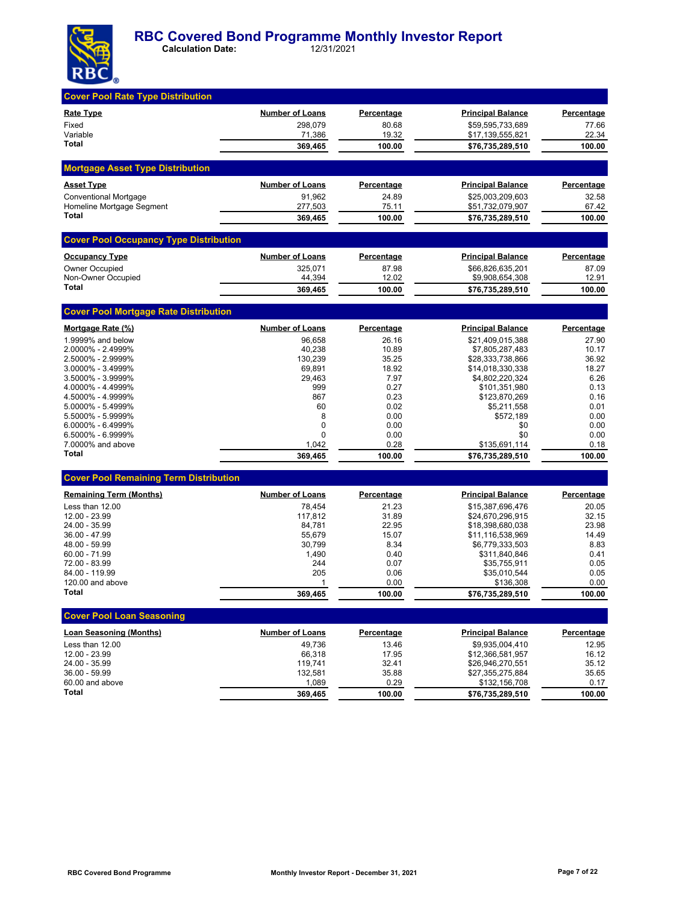

| <b>Cover Pool Rate Type Distribution</b>      |                        |                   |                                      |                   |
|-----------------------------------------------|------------------------|-------------------|--------------------------------------|-------------------|
| <b>Rate Type</b>                              | <b>Number of Loans</b> | <b>Percentage</b> | <b>Principal Balance</b>             | <b>Percentage</b> |
| Fixed                                         | 298.079                | 80.68             | \$59,595,733,689                     | 77.66             |
| Variable                                      | 71,386                 | 19.32             | \$17,139,555,821                     | 22.34             |
| Total                                         | 369,465                | 100.00            | \$76,735,289,510                     | 100.00            |
| <b>Mortgage Asset Type Distribution</b>       |                        |                   |                                      |                   |
| <b>Asset Type</b>                             | <b>Number of Loans</b> | <u>Percentage</u> | <b>Principal Balance</b>             | <b>Percentage</b> |
| <b>Conventional Mortgage</b>                  | 91,962                 | 24.89             | \$25,003,209,603                     | 32.58             |
| Homeline Mortgage Segment<br>Total            | 277,503                | 75.11             | \$51,732,079,907                     | 67.42             |
|                                               | 369,465                | 100.00            | \$76,735,289,510                     | 100.00            |
| <b>Cover Pool Occupancy Type Distribution</b> |                        |                   |                                      |                   |
| <b>Occupancy Type</b>                         | <b>Number of Loans</b> | <u>Percentage</u> | <u>Principal Balance</u>             | <b>Percentage</b> |
| <b>Owner Occupied</b>                         | 325,071                | 87.98             | \$66,826,635,201                     | 87.09             |
| Non-Owner Occupied<br><b>Total</b>            | 44,394<br>369,465      | 12.02<br>100.00   | \$9,908,654,308<br>\$76,735,289,510  | 12.91<br>100.00   |
|                                               |                        |                   |                                      |                   |
| <b>Cover Pool Mortgage Rate Distribution</b>  |                        |                   |                                      |                   |
| Mortgage Rate (%)                             | <b>Number of Loans</b> | Percentage        | <b>Principal Balance</b>             | <b>Percentage</b> |
| 1.9999% and below                             | 96,658                 | 26.16             | \$21,409,015,388                     | 27.90             |
| 2.0000% - 2.4999%                             | 40,238                 | 10.89             | \$7,805,287,483                      | 10.17             |
| 2.5000% - 2.9999%<br>3.0000% - 3.4999%        | 130,239<br>69,891      | 35.25<br>18.92    | \$28,333,738,866<br>\$14,018,330,338 | 36.92<br>18.27    |
| 3.5000% - 3.9999%                             | 29,463                 | 7.97              | \$4,802,220,324                      | 6.26              |
| 4.0000% - 4.4999%                             | 999                    | 0.27              | \$101,351,980                        | 0.13              |
| 4.5000% - 4.9999%                             | 867                    | 0.23              | \$123,870,269                        | 0.16              |
| 5.0000% - 5.4999%                             | 60                     | 0.02              | \$5,211,558                          | 0.01              |
| 5.5000% - 5.9999%                             | 8                      | 0.00              | \$572,189                            | 0.00              |
| 6.0000% - 6.4999%                             | 0                      | 0.00              | \$0                                  | 0.00              |
| 6.5000% - 6.9999%                             | $\Omega$               | 0.00              | \$0                                  | 0.00              |
| 7.0000% and above                             | 1,042                  | 0.28              | \$135,691,114                        | 0.18              |
| Total                                         | 369,465                | 100.00            | \$76,735,289,510                     | 100.00            |
| <b>Cover Pool Remaining Term Distribution</b> |                        |                   |                                      |                   |
| <b>Remaining Term (Months)</b>                | <b>Number of Loans</b> | Percentage        | <b>Principal Balance</b>             | <b>Percentage</b> |
| Less than 12.00                               | 78,454                 | 21.23             | \$15,387,696,476                     | 20.05             |
| 12.00 - 23.99                                 | 117,812                | 31.89             | \$24,670,296,915                     | 32.15             |
| 24.00 - 35.99                                 | 84,781                 | 22.95             | \$18,398,680,038                     | 23.98             |
| 36.00 - 47.99                                 | 55,679                 | 15.07             | \$11,116,538,969                     | 14.49             |
| 48.00 - 59.99<br>$60.00 - 71.99$              | 30,799<br>1,490        | 8.34<br>0.40      | \$6,779,333,503<br>\$311,840,846     | 8.83<br>0.41      |
| 72.00 - 83.99                                 | 244                    | 0.07              | \$35,755,911                         | 0.05              |
| 84.00 - 119.99                                | 205                    | 0.06              | \$35,010,544                         | 0.05              |
| 120.00 and above                              | $\mathbf{1}$           | 0.00              | \$136,308                            | 0.00              |
| Total                                         | 369,465                | 100.00            | \$76,735,289,510                     | 100.00            |
| <b>Cover Pool Loan Seasoning</b>              |                        |                   |                                      |                   |
| <b>Loan Seasoning (Months)</b>                | <b>Number of Loans</b> | <b>Percentage</b> | <b>Principal Balance</b>             | Percentage        |
| Less than 12.00                               | 49,736                 | 13.46             | \$9,935,004,410                      | 12.95             |
| 12.00 - 23.99                                 | 66,318                 | 17.95             | \$12,366,581,957                     | 16.12             |
| 24.00 - 35.99                                 | 119,741                | 32.41             | \$26,946,270,551                     | 35.12             |
| 36.00 - 59.99                                 | 132,581                | 35.88             | \$27,355,275,884                     | 35.65             |
| 60.00 and above                               | 1,089                  | 0.29              | \$132,156,708                        | 0.17              |
| Total                                         | 369,465                | 100.00            | \$76,735,289,510                     | 100.00            |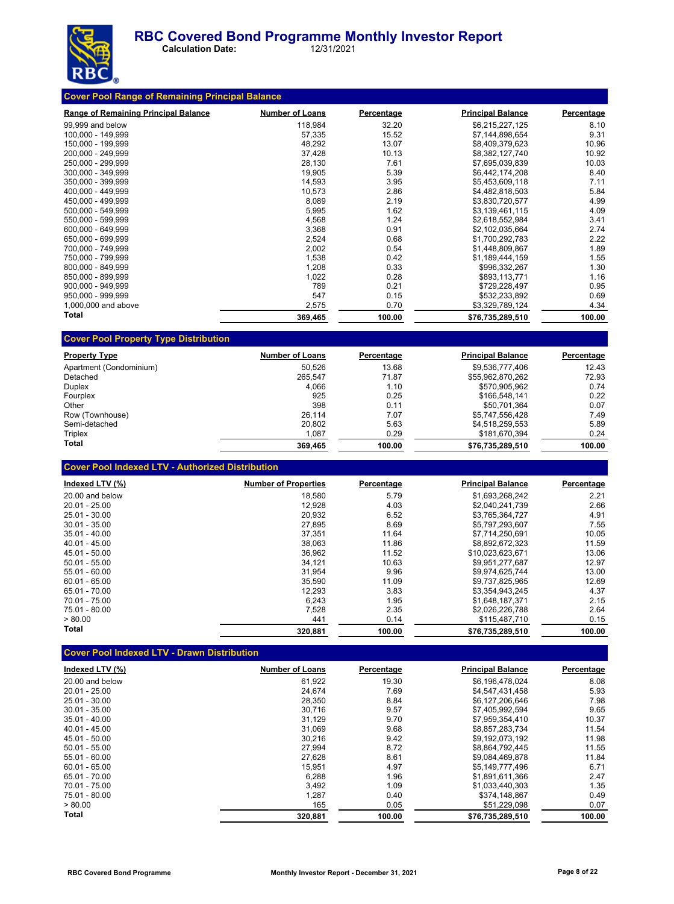

 **Calculation Date:** 12/31/2021

| <b>Range of Remaining Principal Balance</b> | <b>Number of Loans</b> | Percentage | <b>Principal Balance</b> | Percentage |
|---------------------------------------------|------------------------|------------|--------------------------|------------|
| 99,999 and below                            | 118,984                | 32.20      | \$6,215,227,125          | 8.10       |
| 100,000 - 149,999                           | 57,335                 | 15.52      | \$7,144,898,654          | 9.31       |
| 150,000 - 199,999                           | 48,292                 | 13.07      | \$8,409,379,623          | 10.96      |
| 200.000 - 249.999                           | 37,428                 | 10.13      | \$8.382.127.740          | 10.92      |
| 250,000 - 299,999                           | 28,130                 | 7.61       | \$7,695,039,839          | 10.03      |
| 300,000 - 349,999                           | 19,905                 | 5.39       | \$6,442,174,208          | 8.40       |
| 350.000 - 399.999                           | 14,593                 | 3.95       | \$5,453,609,118          | 7.11       |
| 400,000 - 449,999                           | 10,573                 | 2.86       | \$4,482,818,503          | 5.84       |
| 450,000 - 499,999                           | 8,089                  | 2.19       | \$3,830,720,577          | 4.99       |
| 500,000 - 549,999                           | 5,995                  | 1.62       | \$3,139,461,115          | 4.09       |
| 550.000 - 599.999                           | 4,568                  | 1.24       | \$2,618,552,984          | 3.41       |
| 600.000 - 649.999                           | 3,368                  | 0.91       | \$2,102,035,664          | 2.74       |
| 650,000 - 699,999                           | 2,524                  | 0.68       | \$1,700,292,783          | 2.22       |
| 700,000 - 749,999                           | 2,002                  | 0.54       | \$1,448,809,867          | 1.89       |
| 750,000 - 799,999                           | 1,538                  | 0.42       | \$1,189,444,159          | 1.55       |
| 800.000 - 849.999                           | 1,208                  | 0.33       | \$996,332,267            | 1.30       |
| 850,000 - 899,999                           | 1,022                  | 0.28       | \$893,113,771            | 1.16       |
| 900.000 - 949.999                           | 789                    | 0.21       | \$729,228,497            | 0.95       |
| 950,000 - 999,999                           | 547                    | 0.15       | \$532,233,892            | 0.69       |
| 1,000,000 and above                         | 2,575                  | 0.70       | \$3,329,789,124          | 4.34       |
| Total                                       | 369,465                | 100.00     | \$76,735,289,510         | 100.00     |

| <b>Property Type</b>    | <b>Number of Loans</b> | Percentage | <b>Principal Balance</b> | Percentage |
|-------------------------|------------------------|------------|--------------------------|------------|
| Apartment (Condominium) | 50.526                 | 13.68      | \$9.536.777.406          | 12.43      |
| Detached                | 265.547                | 71.87      | \$55,962,870,262         | 72.93      |
| <b>Duplex</b>           | 4.066                  | 1.10       | \$570,905.962            | 0.74       |
| Fourplex                | 925                    | 0.25       | \$166,548,141            | 0.22       |
| Other                   | 398                    | 0.11       | \$50.701.364             | 0.07       |
| Row (Townhouse)         | 26.114                 | 7.07       | \$5.747.556.428          | 7.49       |
| Semi-detached           | 20.802                 | 5.63       | \$4,518,259,553          | 5.89       |
| Triplex                 | 1,087                  | 0.29       | \$181,670,394            | 0.24       |
| Total                   | 369.465                | 100.00     | \$76.735.289.510         | 100.00     |

**Cover Pool Indexed LTV - Authorized Distribution**

| Indexed LTV (%) | <b>Number of Properties</b> | Percentage | <b>Principal Balance</b> | Percentage |
|-----------------|-----------------------------|------------|--------------------------|------------|
| 20.00 and below | 18.580                      | 5.79       | \$1.693.268.242          | 2.21       |
| $20.01 - 25.00$ | 12.928                      | 4.03       | \$2.040.241.739          | 2.66       |
| $25.01 - 30.00$ | 20,932                      | 6.52       | \$3.765.364.727          | 4.91       |
| $30.01 - 35.00$ | 27,895                      | 8.69       | \$5.797.293.607          | 7.55       |
| $35.01 - 40.00$ | 37,351                      | 11.64      | \$7,714,250,691          | 10.05      |
| $40.01 - 45.00$ | 38.063                      | 11.86      | \$8.892.672.323          | 11.59      |
| 45.01 - 50.00   | 36,962                      | 11.52      | \$10.023.623.671         | 13.06      |
| $50.01 - 55.00$ | 34.121                      | 10.63      | \$9.951.277.687          | 12.97      |
| $55.01 - 60.00$ | 31,954                      | 9.96       | \$9.974.625.744          | 13.00      |
| $60.01 - 65.00$ | 35,590                      | 11.09      | \$9.737.825.965          | 12.69      |
| 65.01 - 70.00   | 12,293                      | 3.83       | \$3,354,943,245          | 4.37       |
| $70.01 - 75.00$ | 6,243                       | 1.95       | \$1.648.187.371          | 2.15       |
| 75.01 - 80.00   | 7.528                       | 2.35       | \$2.026.226.788          | 2.64       |
| > 80.00         | 441                         | 0.14       | \$115,487,710            | 0.15       |
| Total           | 320,881                     | 100.00     | \$76,735,289,510         | 100.00     |

## **Cover Pool Indexed LTV - Drawn Distribution**

| Indexed LTV (%) | <b>Number of Loans</b> | Percentage | <b>Principal Balance</b> | Percentage |
|-----------------|------------------------|------------|--------------------------|------------|
| 20.00 and below | 61,922                 | 19.30      | \$6.196.478.024          | 8.08       |
| $20.01 - 25.00$ | 24.674                 | 7.69       | \$4.547.431.458          | 5.93       |
| 25.01 - 30.00   | 28,350                 | 8.84       | \$6,127,206,646          | 7.98       |
| $30.01 - 35.00$ | 30.716                 | 9.57       | \$7.405.992.594          | 9.65       |
| $35.01 - 40.00$ | 31.129                 | 9.70       | \$7.959.354.410          | 10.37      |
| $40.01 - 45.00$ | 31.069                 | 9.68       | \$8.857.283.734          | 11.54      |
| $45.01 - 50.00$ | 30,216                 | 9.42       | \$9.192.073.192          | 11.98      |
| $50.01 - 55.00$ | 27,994                 | 8.72       | \$8.864.792.445          | 11.55      |
| $55.01 - 60.00$ | 27,628                 | 8.61       | \$9,084,469,878          | 11.84      |
| $60.01 - 65.00$ | 15,951                 | 4.97       | \$5,149,777,496          | 6.71       |
| 65.01 - 70.00   | 6.288                  | 1.96       | \$1.891.611.366          | 2.47       |
| 70.01 - 75.00   | 3,492                  | 1.09       | \$1,033,440,303          | 1.35       |
| 75.01 - 80.00   | 1,287                  | 0.40       | \$374.148.867            | 0.49       |
| > 80.00         | 165                    | 0.05       | \$51,229,098             | 0.07       |
| Total           | 320.881                | 100.00     | \$76,735,289,510         | 100.00     |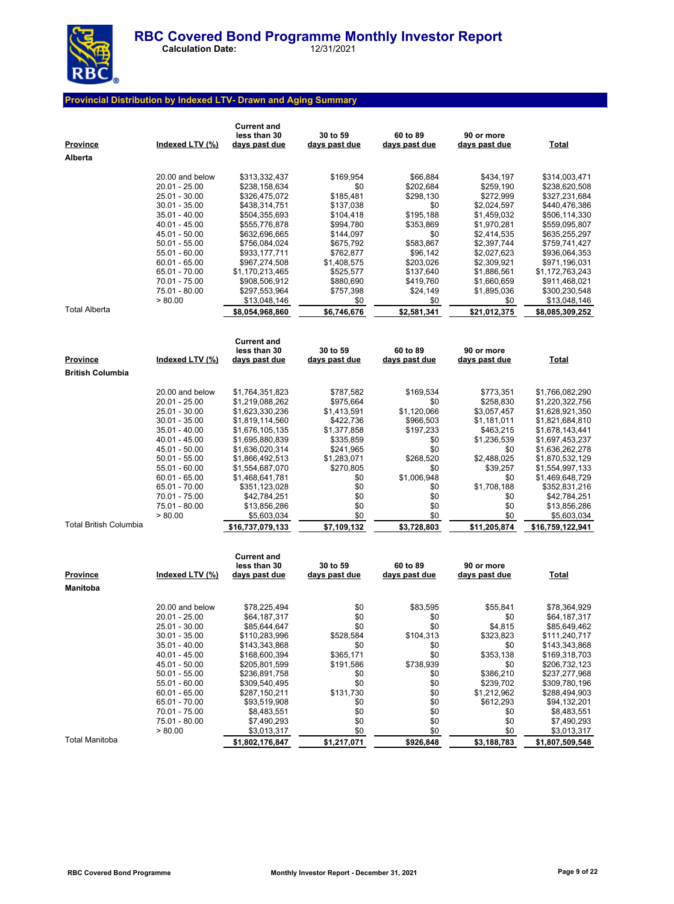

 **Calculation Date:** 12/31/2021

## **Provincial Distribution by Indexed LTV- Drawn and Aging Summary**

| <b>Province</b><br>Alberta | Indexed LTV (%)                  | <b>Current and</b><br>less than 30<br><u>days past due</u> | 30 to 59<br>days past due | 60 to 89<br>days past due | 90 or more<br>days past due | <b>Total</b>                       |
|----------------------------|----------------------------------|------------------------------------------------------------|---------------------------|---------------------------|-----------------------------|------------------------------------|
|                            | 20.00 and below                  |                                                            |                           |                           |                             | \$314,003,471                      |
|                            | 20.01 - 25.00                    | \$313,332,437<br>\$238,158,634                             | \$169,954<br>\$0          | \$66,884<br>\$202,684     | \$434,197<br>\$259,190      | \$238,620,508                      |
|                            | 25.01 - 30.00                    | \$326,475,072                                              | \$185,481                 | \$298,130                 | \$272,999                   | \$327,231,684                      |
|                            | $30.01 - 35.00$                  | \$438,314,751                                              | \$137,038                 | \$0                       | \$2,024,597                 | \$440,476,386                      |
|                            | $35.01 - 40.00$                  | \$504,355,693                                              | \$104,418                 | \$195,188                 | \$1,459,032                 | \$506,114,330                      |
|                            | 40.01 - 45.00                    | \$555,776,878                                              | \$994,780                 | \$353,869                 | \$1,970,281                 | \$559,095,807                      |
|                            | 45.01 - 50.00                    | \$632,696,665                                              | \$144,097                 | \$0                       | \$2,414,535                 | \$635,255,297                      |
|                            | $50.01 - 55.00$                  | \$756,084,024                                              | \$675,792                 | \$583,867                 | \$2,397,744                 | \$759,741,427                      |
|                            | 55.01 - 60.00                    | \$933,177,711                                              | \$762,877                 | \$96,142                  | \$2,027,623                 | \$936,064,353                      |
|                            | $60.01 - 65.00$                  | \$967,274,508                                              | \$1,408,575               | \$203,026                 | \$2,309,921                 | \$971,196,031                      |
|                            | 65.01 - 70.00                    | \$1,170,213,465                                            | \$525,577                 | \$137,640                 | \$1,886,561                 | \$1,172,763,243                    |
|                            | 70.01 - 75.00                    | \$908,506,912                                              | \$880,690                 | \$419,760                 | \$1,660,659                 | \$911,468,021                      |
|                            | 75.01 - 80.00<br>> 80.00         | \$297,553,964                                              | \$757,398                 | \$24,149                  | \$1,895,036                 | \$300,230,548                      |
| <b>Total Alberta</b>       |                                  | \$13,048,146<br>\$8,054,968,860                            | \$0<br>\$6,746,676        | \$0<br>\$2,581,341        | \$0<br>\$21,012,375         | \$13,048,146<br>\$8,085,309,252    |
|                            |                                  |                                                            |                           |                           |                             |                                    |
|                            |                                  | <b>Current and</b>                                         |                           |                           |                             |                                    |
| <u>Province</u>            | Indexed LTV (%)                  | less than 30<br><u>days past due</u>                       | 30 to 59<br>days past due | 60 to 89<br>days past due | 90 or more<br>days past due | <u>Total</u>                       |
| <b>British Columbia</b>    |                                  |                                                            |                           |                           |                             |                                    |
|                            |                                  |                                                            |                           |                           |                             |                                    |
|                            | 20.00 and below                  | \$1,764,351,823                                            | \$787,582                 | \$169,534                 | \$773,351                   | \$1,766,082,290                    |
|                            | 20.01 - 25.00                    | \$1,219,088,262                                            | \$975,664                 | \$0                       | \$258,830                   | \$1,220,322,756                    |
|                            | 25.01 - 30.00                    | \$1,623,330,236                                            | \$1,413,591               | \$1,120,066               | \$3,057,457                 | \$1,628,921,350                    |
|                            | $30.01 - 35.00$                  | \$1,819,114,560                                            | \$422,736                 | \$966,503                 | \$1,181,011                 | \$1,821,684,810                    |
|                            | $35.01 - 40.00$                  | \$1,676,105,135                                            | \$1,377,858               | \$197,233                 | \$463,215                   | \$1,678,143,441                    |
|                            | 40.01 - 45.00<br>45.01 - 50.00   | \$1,695,880,839<br>\$1,636,020,314                         | \$335,859<br>\$241,965    | \$0<br>\$0                | \$1,236,539<br>\$0          | \$1,697,453,237<br>\$1,636,262,278 |
|                            | $50.01 - 55.00$                  | \$1,866,492,513                                            | \$1,283,071               | \$268,520                 | \$2,488,025                 | \$1,870,532,129                    |
|                            | 55.01 - 60.00                    | \$1,554,687,070                                            | \$270,805                 | \$0                       | \$39,257                    | \$1,554,997,133                    |
|                            | $60.01 - 65.00$                  | \$1,468,641,781                                            | \$0                       | \$1,006,948               | \$0                         | \$1,469,648,729                    |
|                            | 65.01 - 70.00                    | \$351,123,028                                              | \$0                       | \$0                       | \$1,708,188                 | \$352,831,216                      |
|                            | 70.01 - 75.00                    | \$42,784,251                                               | \$0                       | \$0                       | \$0                         | \$42,784,251                       |
|                            | 75.01 - 80.00                    | \$13,856,286                                               | \$0                       | \$0                       | \$0                         | \$13,856,286                       |
| Total British Columbia     | > 80.00                          | \$5,603,034                                                | \$0                       | \$0                       | \$0                         | \$5,603,034                        |
|                            |                                  | \$16,737,079,133                                           | \$7,109,132               | \$3,728,803               | \$11,205,874                | \$16,759,122,941                   |
|                            |                                  | <b>Current and</b>                                         |                           |                           |                             |                                    |
|                            |                                  | less than 30                                               | 30 to 59                  | 60 to 89                  | 90 or more                  |                                    |
| <u>Province</u>            | Indexed LTV (%)                  | <u>days past due</u>                                       | days past due             | days past due             | days past due               | <u>Total</u>                       |
| Manitoba                   |                                  |                                                            |                           |                           |                             |                                    |
|                            | 20.00 and below                  | \$78,225,494                                               | \$0                       | \$83,595                  | \$55,841                    | \$78,364,929                       |
|                            | 20.01 - 25.00                    | \$64,187,317                                               | \$0                       | \$0                       | \$0                         | \$64,187,317                       |
|                            | 25.01 - 30.00                    | \$85,644,647                                               | \$0                       | \$0                       | \$4,815                     | \$85,649,462                       |
|                            | $30.01 - 35.00$                  | \$110,283,996                                              | \$528,584                 | \$104,313                 | \$323,823                   | \$111,240,717                      |
|                            | $35.01 - 40.00$                  | \$143,343,868                                              | \$0                       | \$0                       | \$0                         | \$143,343,868                      |
|                            | 40.01 - 45.00                    | \$168,600,394                                              | \$365,171                 | \$0                       | \$353,138                   | \$169,318,703                      |
|                            | 45.01 - 50.00                    | \$205,801,599                                              | \$191,586                 | \$738,939                 | \$0                         | \$206,732,123                      |
|                            | $50.01 - 55.00$                  | \$236,891,758                                              | \$0                       | \$0                       | \$386,210                   | \$237,277,968                      |
|                            | 55.01 - 60.00<br>$60.01 - 65.00$ | \$309,540,495<br>\$287,150,211                             | \$0<br>\$131,730          | \$0<br>\$0                | \$239,702<br>\$1,212,962    | \$309,780,196<br>\$288,494,903     |
|                            | 65.01 - 70.00                    | \$93,519,908                                               | \$0                       | \$0                       | \$612,293                   | \$94,132,201                       |
|                            | 70.01 - 75.00                    | \$8,483,551                                                | \$0                       | \$0                       | \$0                         | \$8,483,551                        |
|                            | 75.01 - 80.00                    | \$7,490,293                                                | \$0                       | \$0                       | \$0                         | \$7,490,293                        |
|                            | > 80.00                          | \$3,013,317                                                | \$0                       | \$0                       | \$0                         | \$3,013,317                        |
| Total Manitoba             |                                  | \$1,802,176,847                                            | \$1,217,071               | \$926,848                 | \$3,188,783                 | \$1,807,509,548                    |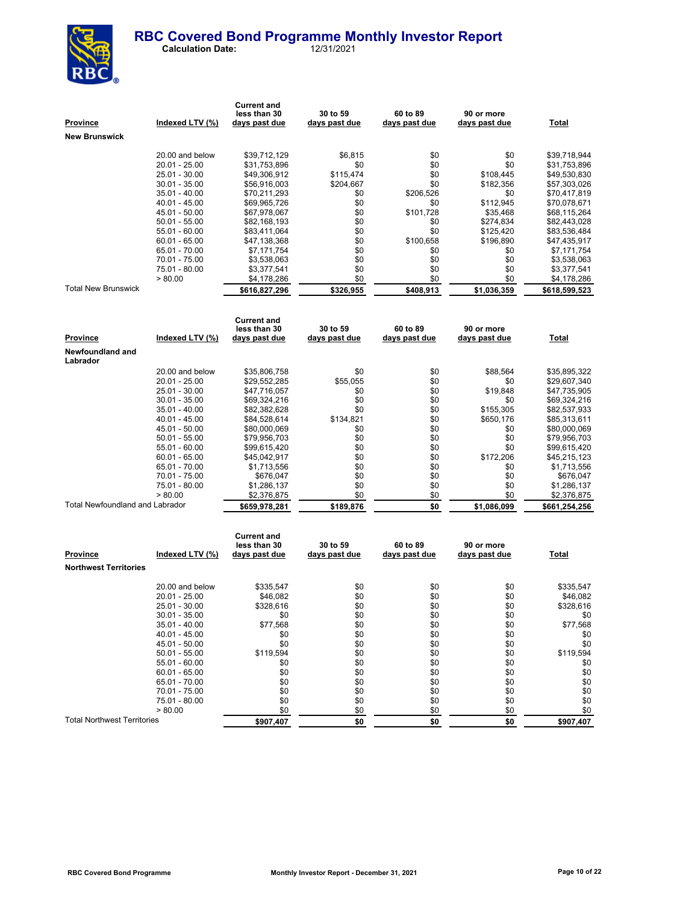

 **Calculation Date:** 12/31/2021

**Current and** 

| <u>Province</u>                        | Indexed LTV (%) | less than 30<br>days past due | 30 to 59<br>days past due | 60 to 89<br>days past due | 90 or more<br>days past due | <b>Total</b>  |
|----------------------------------------|-----------------|-------------------------------|---------------------------|---------------------------|-----------------------------|---------------|
|                                        |                 |                               |                           |                           |                             |               |
| New Brunswick                          |                 |                               |                           |                           |                             |               |
|                                        | 20.00 and below | \$39,712,129                  | \$6.815                   | \$0                       | \$0                         | \$39,718,944  |
|                                        | $20.01 - 25.00$ | \$31,753,896                  | \$0                       | \$0                       | \$0                         | \$31,753,896  |
|                                        | 25.01 - 30.00   | \$49,306,912                  | \$115,474                 | \$0                       | \$108,445                   | \$49,530,830  |
|                                        | $30.01 - 35.00$ | \$56,916,003                  | \$204,667                 | \$0                       | \$182,356                   | \$57,303,026  |
|                                        | 35.01 - 40.00   | \$70,211,293                  | \$0                       | \$206,526                 | \$0                         | \$70,417,819  |
|                                        | 40.01 - 45.00   | \$69,965,726                  | \$0                       | \$0                       | \$112,945                   | \$70,078,671  |
|                                        | 45.01 - 50.00   | \$67,978,067                  | \$0                       | \$101,728                 | \$35,468                    | \$68,115,264  |
|                                        | $50.01 - 55.00$ | \$82,168,193                  | \$0                       | \$0                       | \$274,834                   | \$82,443,028  |
|                                        | $55.01 - 60.00$ | \$83,411,064                  | \$0                       | \$0                       | \$125,420                   | \$83,536,484  |
|                                        | $60.01 - 65.00$ | \$47,138,368                  | \$0                       | \$100,658                 | \$196,890                   | \$47,435,917  |
|                                        | 65.01 - 70.00   | \$7,171,754                   | \$0                       | \$0                       | \$0                         | \$7,171,754   |
|                                        | 70.01 - 75.00   | \$3,538,063                   | \$0                       | \$0                       | \$0                         | \$3,538,063   |
|                                        | 75.01 - 80.00   | \$3,377,541                   | \$0                       | \$0                       | \$0                         | \$3,377,541   |
|                                        | > 80.00         | \$4,178,286                   | \$0                       | \$0                       | \$0                         | \$4,178,286   |
| <b>Total New Brunswick</b>             |                 | \$616,827,296                 | \$326,955                 | \$408,913                 | \$1,036,359                 | \$618,599,523 |
|                                        |                 |                               |                           |                           |                             |               |
|                                        |                 | <b>Current and</b>            |                           |                           |                             |               |
|                                        |                 | less than 30                  | 30 to 59                  | 60 to 89                  | 90 or more                  |               |
| Province                               | Indexed LTV (%) | days past due                 | days past due             | days past due             | days past due               | <b>Total</b>  |
| Newfoundland and<br>Labrador           |                 |                               |                           |                           |                             |               |
|                                        | 20.00 and below | \$35,806,758                  | \$0                       | \$0                       | \$88,564                    | \$35,895,322  |
|                                        | 20.01 - 25.00   | \$29,552,285                  | \$55,055                  | \$0                       | \$0                         | \$29,607,340  |
|                                        | $25.01 - 30.00$ | \$47,716,057                  | \$0                       | \$0                       | \$19,848                    | \$47,735,905  |
|                                        | $30.01 - 35.00$ | \$69,324,216                  | \$0                       | \$0                       | \$0                         | \$69,324,216  |
|                                        | 35.01 - 40.00   | \$82,382,628                  | \$0                       | \$0                       | \$155,305                   | \$82,537,933  |
|                                        | 40.01 - 45.00   | \$84,528,614                  | \$134,821                 | \$0                       | \$650,176                   | \$85,313,611  |
|                                        | $45.01 - 50.00$ | \$80,000,069                  | \$0                       | \$0                       | \$0                         | \$80,000,069  |
|                                        | $50.01 - 55.00$ | \$79,956,703                  | \$0                       | \$0                       | \$0                         | \$79,956,703  |
|                                        | $55.01 - 60.00$ | \$99,615,420                  | \$0                       | \$0                       | \$0                         | \$99,615,420  |
|                                        | $60.01 - 65.00$ | \$45,042,917                  | \$0                       | \$0                       | \$172,206                   | \$45,215,123  |
|                                        | 65.01 - 70.00   | \$1,713,556                   | \$0                       | \$0                       | \$0                         | \$1,713,556   |
|                                        | 70.01 - 75.00   | \$676,047                     | \$0                       | \$0                       | \$0                         | \$676,047     |
|                                        | 75.01 - 80.00   | \$1,286,137                   | \$0                       | \$0                       | \$0                         | \$1,286,137   |
|                                        | > 80.00         | \$2,376,875                   | \$0                       | \$0                       | \$0                         | \$2,376,875   |
| <b>Total Newfoundland and Labrador</b> |                 | \$659,978,281                 | \$189,876                 | \$0                       | \$1,086,099                 | \$661,254,256 |
|                                        |                 |                               |                           |                           |                             |               |
|                                        |                 | <b>Current and</b>            |                           |                           |                             |               |

| <b>Province</b>                    | Indexed LTV (%) | less than 30<br>days past due | 30 to 59<br>days past due | 60 to 89<br>days past due | 90 or more<br>days past due | <b>Total</b> |
|------------------------------------|-----------------|-------------------------------|---------------------------|---------------------------|-----------------------------|--------------|
| <b>Northwest Territories</b>       |                 |                               |                           |                           |                             |              |
|                                    | 20.00 and below | \$335,547                     | \$0                       | \$0                       | \$0                         | \$335,547    |
|                                    | $20.01 - 25.00$ | \$46.082                      | \$0                       | \$0                       | \$0                         | \$46.082     |
|                                    | 25.01 - 30.00   | \$328.616                     | \$0                       | \$0                       | \$0                         | \$328,616    |
|                                    | $30.01 - 35.00$ | \$0                           | \$0                       | \$0                       | \$0                         | \$0          |
|                                    | $35.01 - 40.00$ | \$77,568                      | \$0                       | \$0                       | \$0                         | \$77,568     |
|                                    | 40.01 - 45.00   | \$0                           | \$0                       | \$0                       | \$0                         | \$0          |
|                                    | 45.01 - 50.00   | \$0                           | \$0                       | \$0                       | \$0                         | \$0          |
|                                    | $50.01 - 55.00$ | \$119,594                     | \$0                       | \$0                       | \$0                         | \$119,594    |
|                                    | 55.01 - 60.00   | \$0                           | \$0                       | \$0                       | \$0                         | \$0          |
|                                    | $60.01 - 65.00$ | \$0                           | \$0                       | \$0                       | \$0                         | \$0          |
|                                    | 65.01 - 70.00   | \$0                           | \$0                       | \$0                       | \$0                         | \$0          |
|                                    | 70.01 - 75.00   | \$0                           | \$0                       | \$0                       | \$0                         | \$0          |
|                                    | 75.01 - 80.00   | \$0                           | \$0                       | \$0                       | \$0                         | \$0          |
|                                    | > 80.00         | \$0                           | \$0                       | \$0                       | \$0                         | \$0          |
| <b>Total Northwest Territories</b> |                 | \$907,407                     | \$0                       | \$0                       | \$0                         | \$907,407    |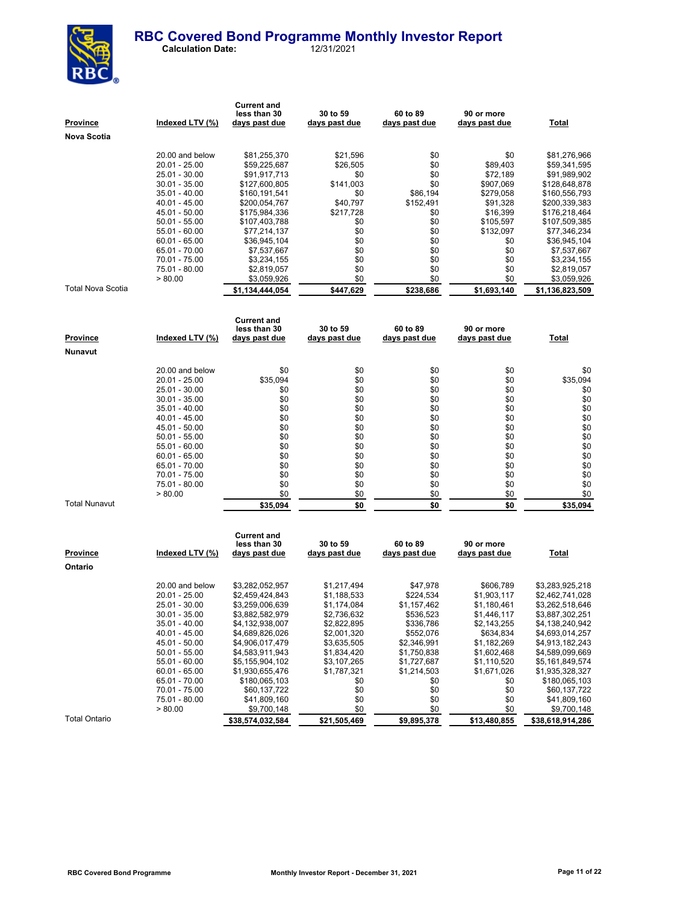#### **RBC Covered Bond Programme Monthly Investor Report Calculation Date:**



| Province             | Indexed LTV (%) | <b>Current and</b><br>less than 30<br>days past due | 30 to 59<br><u>days past due</u> | 60 to 89<br>days past due | 90 or more<br>days past due | <b>Total</b>    |
|----------------------|-----------------|-----------------------------------------------------|----------------------------------|---------------------------|-----------------------------|-----------------|
| Nova Scotia          |                 |                                                     |                                  |                           |                             |                 |
|                      |                 |                                                     |                                  |                           |                             |                 |
|                      | 20.00 and below | \$81,255,370                                        | \$21,596                         | \$0                       | \$0                         | \$81,276,966    |
|                      | 20.01 - 25.00   | \$59,225,687                                        | \$26,505                         | \$0                       | \$89,403                    | \$59,341,595    |
|                      | 25.01 - 30.00   | \$91,917,713                                        | \$0                              | \$0                       | \$72,189                    | \$91,989,902    |
|                      | 30.01 - 35.00   | \$127,600,805                                       | \$141,003                        | \$0                       | \$907,069                   | \$128,648,878   |
|                      | 35.01 - 40.00   | \$160,191,541                                       | \$0                              | \$86,194                  | \$279,058                   | \$160,556,793   |
|                      | 40.01 - 45.00   | \$200,054,767                                       | \$40,797                         | \$152,491                 | \$91,328                    | \$200,339,383   |
|                      | 45.01 - 50.00   | \$175,984,336                                       | \$217,728                        | \$0                       | \$16,399                    | \$176,218,464   |
|                      | 50.01 - 55.00   | \$107,403,788                                       | \$0                              | \$0                       | \$105,597                   | \$107,509,385   |
|                      | 55.01 - 60.00   | \$77,214,137                                        | \$0                              | \$0                       | \$132,097                   | \$77,346,234    |
|                      | $60.01 - 65.00$ | \$36,945,104                                        | \$0                              | \$0                       | \$0                         | \$36,945,104    |
|                      | 65.01 - 70.00   | \$7,537,667                                         | \$0                              | \$0                       | \$0                         | \$7,537,667     |
|                      | 70.01 - 75.00   | \$3,234,155                                         | \$0                              | \$0                       | \$0                         | \$3,234,155     |
|                      | 75.01 - 80.00   | \$2,819,057                                         | \$0                              | \$0                       | \$0                         | \$2,819,057     |
|                      | > 80.00         | \$3,059,926                                         | \$0                              | \$0                       | \$0                         | \$3,059,926     |
| Total Nova Scotia    |                 | \$1,134,444,054                                     | \$447,629                        | \$238,686                 | \$1,693,140                 | \$1,136,823,509 |
|                      |                 |                                                     |                                  |                           |                             |                 |
|                      |                 | <b>Current and</b>                                  |                                  |                           |                             |                 |
|                      |                 | less than 30                                        | 30 to 59                         | 60 to 89                  | 90 or more                  |                 |
| Province             | Indexed LTV (%) | <u>days past due</u>                                | <u>days past due</u>             | days past due             | days past due               | Total           |
| Nunavut              |                 |                                                     |                                  |                           |                             |                 |
|                      |                 |                                                     |                                  |                           |                             |                 |
|                      | 20.00 and below | \$0                                                 | \$0                              | \$0                       | \$0                         | \$0             |
|                      | 20.01 - 25.00   | \$35,094                                            | \$0                              | \$0                       | \$0                         | \$35,094        |
|                      | 25.01 - 30.00   | \$0                                                 | \$0                              | \$0                       | \$0                         | \$0             |
|                      | 30.01 - 35.00   | \$0                                                 | \$0                              | \$0                       | \$0                         | \$0             |
|                      | 35.01 - 40.00   | \$0                                                 | \$0                              | \$0                       | \$0                         | \$0             |
|                      | 40.01 - 45.00   | \$0                                                 | \$0                              | \$0                       | \$0                         | \$0             |
|                      | 45.01 - 50.00   | \$0                                                 | \$0                              | \$0                       | \$0                         | \$0             |
|                      | 50.01 - 55.00   | \$0                                                 | \$0                              | \$0                       | \$0                         | \$0             |
|                      | 55.01 - 60.00   | \$0                                                 | \$0                              | \$0                       | \$0                         | \$0             |
|                      | 60.01 - 65.00   | \$0                                                 | \$0                              | \$0                       | \$0                         | \$0             |
|                      | 65.01 - 70.00   | \$0                                                 | \$0                              | \$0                       | \$0                         | \$0             |
|                      | 70.01 - 75.00   | \$0                                                 | \$0                              | \$0                       | \$0                         | \$0             |
|                      | 75.01 - 80.00   | \$0                                                 | \$0                              | \$0                       | \$0                         | \$0             |
|                      | > 80.00         | \$0                                                 | \$0                              | \$0                       | \$0                         | \$0             |
| <b>Total Nunavut</b> |                 | \$35,094                                            | \$0                              | \$0                       | \$0                         | \$35,094        |
|                      |                 |                                                     |                                  |                           |                             |                 |
|                      |                 | <b>Current and</b>                                  |                                  |                           |                             |                 |
|                      |                 | less than 30                                        | 30 to 59                         | 60 to 89                  | 90 or more                  |                 |
| Province             | Indexed LTV (%) | days past due                                       | days past due                    | days past due             | days past due               | Total           |
|                      |                 |                                                     |                                  |                           |                             |                 |
| Ontario              |                 |                                                     |                                  |                           |                             |                 |
|                      | 20.00 and below | \$3,282,052,957                                     | \$1,217,494                      | \$47,978                  | \$606,789                   | \$3,283,925,218 |
|                      | 20.01 - 25.00   | \$2,459,424,843                                     | \$1,188,533                      | \$224,534                 | \$1,903,117                 | \$2,462,741,028 |
|                      | 25.01 - 30.00   | \$3,259,006,639                                     | \$1,174,084                      | \$1,157,462               | \$1,180,461                 | \$3,262,518,646 |
|                      | 30.01 - 35.00   | \$3,882,582,979                                     | \$2,736,632                      | \$536,523                 | \$1,446,117                 | \$3,887,302,251 |
|                      | 35.01 - 40.00   | \$4.132.938.007                                     | \$2.822.895                      | \$336.786                 | \$2.143.255                 | \$4.138.240.942 |

35.01 - 40.00 \$4,132,938,007 \$2,822,895 \$336,786 \$2,143,255 \$4,138,240,942<br>40.01 - 45.00 \$4,689,826,026 \$2,001,320 \$552,076 \$634,834 \$4,693,014,257 40.01 - 45.00 \$4,689,826,026 \$2,001,320 \$552,076 \$634,834 \$4,693,014,257<br>45.01 - 50.00 \$4,906,017,479 \$3,635,505 \$2,346,991 \$1,182,269 \$4,913,182,243 45.01 - 50.00 \$4,906,017,479 \$3,635,505 \$2,346,991 \$1,182,269 \$4,913,182,243

55.01 - 60.00 \$5,155,904,102 \$3,107,265 \$1,727,687 \$1,110,520 \$5,161,849,574 60.01 - 65.00 \$1,930,655,476 \$1,787,321 \$1,214,503 \$1,671,026 \$1,935,328,327

70.01 - 75.00 \$60,137,722 \$0 \$0 \$0 \$0 \$60,137,722<br>75.01 - 80.00 \$41,809,160 \$0 \$0 \$0 \$41,809,160  $75.01 - 80.00$  \$41,809,160 \$0 \$0 \$0 \$41,809,160<br>  $> 80.00$  \$9,700,148 \$0 \$0 \$0 \$0,700,148  $\frac{$9,700,148}{0}$   $\frac{$0,00,148}{0}$   $\frac{$0,00,148}{0}$   $\frac{$0,00,148}{0}$ 

 $$60,105,103$ <br>  $$60,137,722$ <br>  $$60,137,722$ <br>  $$60,137,722$ <br>  $$60,137,722$ 

50.01 - 55.00 \$4,583,911,943 \$1,834,420 \$1,750,838 \$1,602,468<br>55.01 - 50.00 \$5,155,904,102 \$3,107,265 \$1,727,687 \$1,110,520

Total Ontario **\$38,574,032,584 \$21,505,469 \$9,895,378 \$13,480,855 \$38,618,914,286**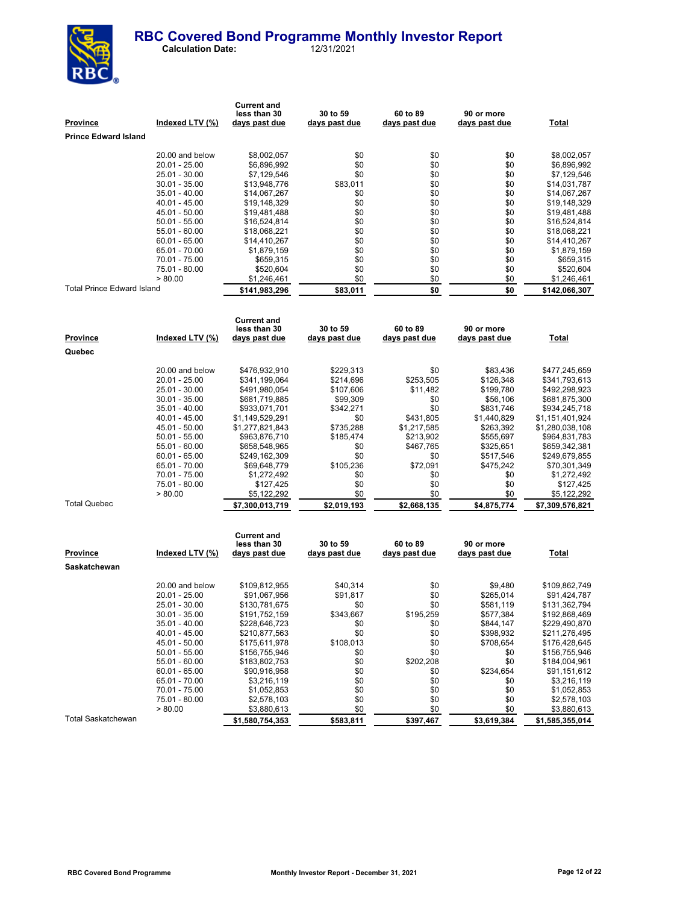

| <u>Province</u>                   | Indexed LTV (%)                  | <b>Current and</b><br>less than 30<br>days past due | 30 to 59<br>days past due | 60 to 89<br>days past due | 90 or more<br>days past due | <u>Total</u>                     |
|-----------------------------------|----------------------------------|-----------------------------------------------------|---------------------------|---------------------------|-----------------------------|----------------------------------|
| <b>Prince Edward Island</b>       |                                  |                                                     |                           |                           |                             |                                  |
|                                   |                                  |                                                     |                           |                           |                             |                                  |
|                                   | 20.00 and below                  | \$8,002,057                                         | \$0                       | \$0                       | \$0                         | \$8,002,057                      |
|                                   | 20.01 - 25.00                    | \$6,896,992                                         | \$0                       | \$0                       | \$0                         | \$6,896,992                      |
|                                   | 25.01 - 30.00                    | \$7,129,546                                         | \$0                       | \$0                       | \$0                         | \$7,129,546                      |
|                                   | $30.01 - 35.00$                  | \$13,948,776                                        | \$83,011                  | \$0                       | \$0                         | \$14.031.787                     |
|                                   | $35.01 - 40.00$<br>40.01 - 45.00 | \$14,067,267<br>\$19,148,329                        | \$0<br>\$0                | \$0<br>\$0                | \$0<br>\$0                  | \$14,067,267<br>\$19,148,329     |
|                                   | 45.01 - 50.00                    | \$19,481,488                                        | \$0                       | \$0                       | \$0                         | \$19,481,488                     |
|                                   | $50.01 - 55.00$                  | \$16,524,814                                        | \$0                       | \$0                       | \$0                         | \$16,524,814                     |
|                                   | 55.01 - 60.00                    | \$18,068,221                                        | \$0                       | \$0                       | \$0                         | \$18,068,221                     |
|                                   | 60.01 - 65.00                    | \$14,410,267                                        | \$0                       | \$0                       | \$0                         | \$14,410,267                     |
|                                   | 65.01 - 70.00                    | \$1,879,159                                         | \$0                       | \$0                       | \$0                         | \$1,879,159                      |
|                                   | 70.01 - 75.00                    | \$659,315                                           | \$0                       | \$0                       | \$0                         | \$659,315                        |
|                                   | 75.01 - 80.00<br>> 80.00         | \$520,604                                           | \$0<br>\$0                | \$0                       | \$0                         | \$520,604                        |
| <b>Total Prince Edward Island</b> |                                  | \$1,246,461                                         |                           | \$0                       | \$0                         | \$1,246,461                      |
|                                   |                                  | \$141,983,296                                       | \$83,011                  | \$0                       | \$0                         | \$142,066,307                    |
|                                   |                                  |                                                     |                           |                           |                             |                                  |
|                                   |                                  | <b>Current and</b><br>less than 30                  | 30 to 59                  | 60 to 89                  | 90 or more                  |                                  |
| <u>Province</u>                   | Indexed LTV (%)                  | days past due                                       | <u>days past due</u>      | days past due             | days past due               | <b>Total</b>                     |
| Quebec                            |                                  |                                                     |                           |                           |                             |                                  |
|                                   |                                  |                                                     |                           |                           |                             |                                  |
|                                   | 20.00 and below                  | \$476,932,910                                       | \$229,313                 | \$0                       | \$83,436                    | \$477,245,659                    |
|                                   | 20.01 - 25.00                    | \$341,199,064                                       | \$214,696                 | \$253,505                 | \$126,348                   | \$341,793,613                    |
|                                   | 25.01 - 30.00                    | \$491,980,054                                       | \$107,606                 | \$11,482                  | \$199,780                   | \$492,298,923                    |
|                                   | $30.01 - 35.00$                  | \$681,719,885                                       | \$99,309                  | \$0                       | \$56,106                    | \$681,875,300                    |
|                                   | $35.01 - 40.00$<br>40.01 - 45.00 | \$933,071,701<br>\$1,149,529,291                    | \$342,271<br>\$0          | \$0<br>\$431,805          | \$831,746<br>\$1,440,829    | \$934,245,718<br>\$1,151,401,924 |
|                                   | 45.01 - 50.00                    | \$1,277,821,843                                     | \$735,288                 | \$1,217,585               | \$263,392                   | \$1,280,038,108                  |
|                                   | $50.01 - 55.00$                  | \$963,876,710                                       | \$185,474                 | \$213,902                 | \$555,697                   | \$964,831,783                    |
|                                   | 55.01 - 60.00                    | \$658,548,965                                       | \$0                       | \$467,765                 | \$325,651                   | \$659,342,381                    |
|                                   | $60.01 - 65.00$                  | \$249,162,309                                       | \$0                       | \$0                       | \$517,546                   | \$249,679,855                    |
|                                   | 65.01 - 70.00                    | \$69,648,779                                        | \$105,236                 | \$72,091                  | \$475,242                   | \$70,301,349                     |
|                                   | 70.01 - 75.00                    | \$1,272,492                                         | \$0                       | \$0                       | \$0                         | \$1,272,492                      |
|                                   | 75.01 - 80.00<br>> 80.00         | \$127,425<br>\$5,122,292                            | \$0<br>\$0                | \$0<br>\$0                | \$0<br>\$0                  | \$127,425<br>\$5,122,292         |
| Total Quebec                      |                                  | \$7,300,013,719                                     | \$2,019,193               | \$2,668,135               | \$4,875,774                 | \$7,309,576,821                  |
|                                   |                                  |                                                     |                           |                           |                             |                                  |
|                                   |                                  | <b>Current and</b>                                  |                           |                           |                             |                                  |
| Province                          | Indexed LTV (%)                  | less than 30<br>days past due                       | 30 to 59<br>days past due | 60 to 89<br>days past due | 90 or more<br>days past due | Total                            |
| Saskatchewan                      |                                  |                                                     |                           |                           |                             |                                  |
|                                   |                                  |                                                     |                           |                           |                             |                                  |
|                                   | 20.00 and below                  | \$109,812,955                                       | \$40,314                  | \$0                       | \$9,480                     | \$109,862,749                    |
|                                   | 20.01 - 25.00                    | \$91,067,956                                        | \$91,817                  | \$0                       | \$265,014                   | \$91,424,787                     |
|                                   | 25.01 - 30.00<br>$30.01 - 35.00$ | \$130,781,675<br>\$191,752,159                      | \$0<br>\$343,667          | \$0<br>\$195,259          | \$581,119<br>\$577,384      | \$131,362,794<br>\$192,868,469   |
|                                   | $35.01 - 40.00$                  | \$228,646,723                                       | \$0                       | \$0                       | \$844,147                   | \$229,490,870                    |
|                                   | 40.01 - 45.00                    | \$210,877,563                                       | \$0                       | \$0                       | \$398,932                   | \$211,276,495                    |
|                                   | 45.01 - 50.00                    | \$175,611,978                                       | \$108,013                 | \$0                       | \$708,654                   | \$176,428,645                    |
|                                   | $50.01 - 55.00$                  | \$156,755,946                                       | \$0                       | \$0                       | \$0                         | \$156,755,946                    |
|                                   | $55.01 - 60.00$                  | \$183,802,753                                       | \$0                       | \$202,208                 | \$0                         | \$184,004,961                    |
|                                   | $60.01 - 65.00$                  | \$90,916,958                                        | \$0                       | \$0                       | \$234,654                   | \$91,151,612                     |
|                                   | 65.01 - 70.00<br>70.01 - 75.00   | \$3,216,119<br>\$1,052,853                          | \$0<br>\$0                | \$0<br>\$0                | \$0<br>\$0                  | \$3,216,119<br>\$1,052,853       |
|                                   | 75.01 - 80.00                    | \$2,578,103                                         | \$0                       | \$0                       | \$0                         | \$2,578,103                      |
|                                   | > 80.00                          | \$3,880,613                                         | \$0                       | \$0                       | \$0                         | \$3,880,613                      |
| Total Saskatchewan                |                                  | \$1,580,754,353                                     | \$583,811                 | \$397,467                 | \$3,619,384                 | \$1,585,355,014                  |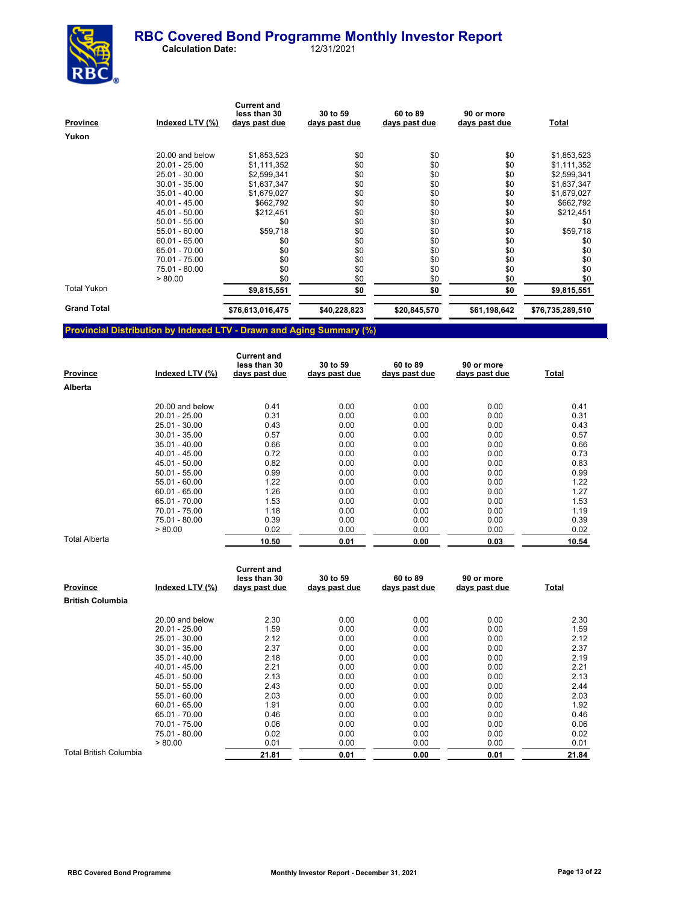

 **Calculation Date:** 12/31/2021

| Province           | Indexed LTV (%) | <b>Current and</b><br>less than 30<br>days past due | 30 to 59<br>days past due | 60 to 89<br>days past due | 90 or more<br>days past due | Total            |
|--------------------|-----------------|-----------------------------------------------------|---------------------------|---------------------------|-----------------------------|------------------|
| Yukon              |                 |                                                     |                           |                           |                             |                  |
|                    | 20.00 and below | \$1,853,523                                         | \$0                       | \$0                       | \$0                         | \$1,853,523      |
|                    | $20.01 - 25.00$ | \$1,111,352                                         | \$0                       | \$0                       | \$0                         | \$1,111,352      |
|                    | 25.01 - 30.00   | \$2,599,341                                         | \$0                       | \$0                       | \$0                         | \$2,599,341      |
|                    | $30.01 - 35.00$ | \$1,637,347                                         | \$0                       | \$0                       | \$0                         | \$1,637,347      |
|                    | $35.01 - 40.00$ | \$1,679,027                                         | \$0                       | \$0                       | \$0                         | \$1,679,027      |
|                    | 40.01 - 45.00   | \$662,792                                           | \$0                       | \$0                       | \$0                         | \$662,792        |
|                    | 45.01 - 50.00   | \$212,451                                           | \$0                       | \$0                       | \$0                         | \$212,451        |
|                    | $50.01 - 55.00$ | \$0                                                 | \$0                       | \$0                       | \$0                         | \$0              |
|                    | $55.01 - 60.00$ | \$59,718                                            | \$0                       | \$0                       | \$0                         | \$59,718         |
|                    | $60.01 - 65.00$ | \$0                                                 | \$0                       | \$0                       | \$0                         | \$0              |
|                    | 65.01 - 70.00   | \$0                                                 | \$0                       | \$0                       | \$0                         | \$0              |
|                    | 70.01 - 75.00   | \$0                                                 | \$0                       | \$0                       | \$0                         | \$0              |
|                    | 75.01 - 80.00   | \$0                                                 | \$0                       | \$0                       | \$0                         | \$0              |
|                    | > 80.00         | \$0                                                 | \$0                       | \$0                       | \$0                         | \$0              |
| <b>Total Yukon</b> |                 | \$9,815,551                                         | \$0                       | \$0                       | \$0                         | \$9,815,551      |
| <b>Grand Total</b> |                 | \$76,613,016,475                                    | \$40,228,823              | \$20,845,570              | \$61,198,642                | \$76,735,289,510 |
|                    |                 |                                                     |                           |                           |                             |                  |

## **Provincial Distribution by Indexed LTV - Drawn and Aging Summary (%)**

| <b>Province</b> | Indexed LTV (%) | <b>Current and</b><br>less than 30<br>days past due | 30 to 59<br>days past due | 60 to 89<br>days past due | 90 or more<br>days past due | Total |
|-----------------|-----------------|-----------------------------------------------------|---------------------------|---------------------------|-----------------------------|-------|
| Alberta         |                 |                                                     |                           |                           |                             |       |
|                 | 20.00 and below | 0.41                                                | 0.00                      | 0.00                      | 0.00                        | 0.41  |
|                 | $20.01 - 25.00$ | 0.31                                                | 0.00                      | 0.00                      | 0.00                        | 0.31  |
|                 | 25.01 - 30.00   | 0.43                                                | 0.00                      | 0.00                      | 0.00                        | 0.43  |
|                 | $30.01 - 35.00$ | 0.57                                                | 0.00                      | 0.00                      | 0.00                        | 0.57  |
|                 | $35.01 - 40.00$ | 0.66                                                | 0.00                      | 0.00                      | 0.00                        | 0.66  |
|                 | 40.01 - 45.00   | 0.72                                                | 0.00                      | 0.00                      | 0.00                        | 0.73  |
|                 | 45.01 - 50.00   | 0.82                                                | 0.00                      | 0.00                      | 0.00                        | 0.83  |
|                 | $50.01 - 55.00$ | 0.99                                                | 0.00                      | 0.00                      | 0.00                        | 0.99  |
|                 | 55.01 - 60.00   | 1.22                                                | 0.00                      | 0.00                      | 0.00                        | 1.22  |
|                 | $60.01 - 65.00$ | 1.26                                                | 0.00                      | 0.00                      | 0.00                        | 1.27  |
|                 | 65.01 - 70.00   | 1.53                                                | 0.00                      | 0.00                      | 0.00                        | 1.53  |
|                 | 70.01 - 75.00   | 1.18                                                | 0.00                      | 0.00                      | 0.00                        | 1.19  |
|                 | 75.01 - 80.00   | 0.39                                                | 0.00                      | 0.00                      | 0.00                        | 0.39  |
|                 | > 80.00         | 0.02                                                | 0.00                      | 0.00                      | 0.00                        | 0.02  |
| Total Alberta   |                 | 10.50                                               | 0.01                      | 0.00                      | 0.03                        | 10.54 |

| <b>Province</b>               | Indexed LTV (%) | <b>Current and</b><br>less than 30<br>days past due | 30 to 59<br>days past due | 60 to 89<br>days past due | 90 or more<br>days past due | <u>Total</u> |
|-------------------------------|-----------------|-----------------------------------------------------|---------------------------|---------------------------|-----------------------------|--------------|
| <b>British Columbia</b>       |                 |                                                     |                           |                           |                             |              |
|                               | 20.00 and below | 2.30                                                | 0.00                      | 0.00                      | 0.00                        | 2.30         |
|                               | $20.01 - 25.00$ | 1.59                                                | 0.00                      | 0.00                      | 0.00                        | 1.59         |
|                               | 25.01 - 30.00   | 2.12                                                | 0.00                      | 0.00                      | 0.00                        | 2.12         |
|                               | $30.01 - 35.00$ | 2.37                                                | 0.00                      | 0.00                      | 0.00                        | 2.37         |
|                               | $35.01 - 40.00$ | 2.18                                                | 0.00                      | 0.00                      | 0.00                        | 2.19         |
|                               | $40.01 - 45.00$ | 2.21                                                | 0.00                      | 0.00                      | 0.00                        | 2.21         |
|                               | 45.01 - 50.00   | 2.13                                                | 0.00                      | 0.00                      | 0.00                        | 2.13         |
|                               | $50.01 - 55.00$ | 2.43                                                | 0.00                      | 0.00                      | 0.00                        | 2.44         |
|                               | $55.01 - 60.00$ | 2.03                                                | 0.00                      | 0.00                      | 0.00                        | 2.03         |
|                               | $60.01 - 65.00$ | 1.91                                                | 0.00                      | 0.00                      | 0.00                        | 1.92         |
|                               | 65.01 - 70.00   | 0.46                                                | 0.00                      | 0.00                      | 0.00                        | 0.46         |
|                               | 70.01 - 75.00   | 0.06                                                | 0.00                      | 0.00                      | 0.00                        | 0.06         |
|                               | 75.01 - 80.00   | 0.02                                                | 0.00                      | 0.00                      | 0.00                        | 0.02         |
|                               | > 80.00         | 0.01                                                | 0.00                      | 0.00                      | 0.00                        | 0.01         |
| <b>Total British Columbia</b> |                 | 21.81                                               | 0.01                      | 0.00                      | 0.01                        | 21.84        |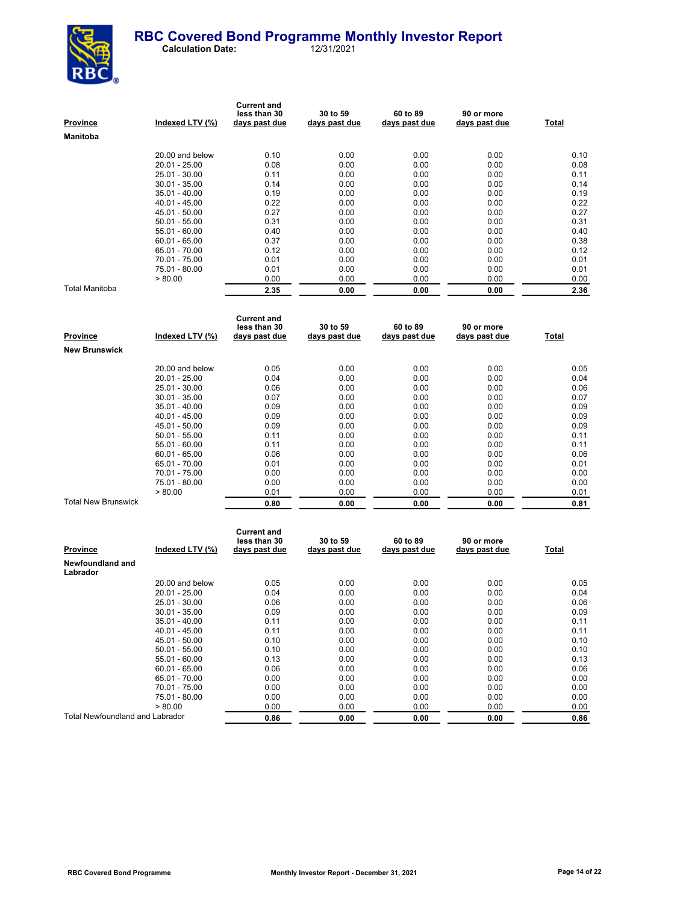

| <b>Province</b> | Indexed LTV (%) | <b>Current and</b><br>less than 30<br>days past due | 30 to 59<br>days past due | 60 to 89<br>days past due | 90 or more<br>days past due | Total |
|-----------------|-----------------|-----------------------------------------------------|---------------------------|---------------------------|-----------------------------|-------|
| Manitoba        |                 |                                                     |                           |                           |                             |       |
|                 | 20.00 and below | 0.10                                                | 0.00                      | 0.00                      | 0.00                        | 0.10  |
|                 | $20.01 - 25.00$ | 0.08                                                | 0.00                      | 0.00                      | 0.00                        | 0.08  |
|                 | 25.01 - 30.00   | 0.11                                                | 0.00                      | 0.00                      | 0.00                        | 0.11  |
|                 | $30.01 - 35.00$ | 0.14                                                | 0.00                      | 0.00                      | 0.00                        | 0.14  |
|                 | $35.01 - 40.00$ | 0.19                                                | 0.00                      | 0.00                      | 0.00                        | 0.19  |
|                 | $40.01 - 45.00$ | 0.22                                                | 0.00                      | 0.00                      | 0.00                        | 0.22  |
|                 | 45.01 - 50.00   | 0.27                                                | 0.00                      | 0.00                      | 0.00                        | 0.27  |
|                 | $50.01 - 55.00$ | 0.31                                                | 0.00                      | 0.00                      | 0.00                        | 0.31  |
|                 | $55.01 - 60.00$ | 0.40                                                | 0.00                      | 0.00                      | 0.00                        | 0.40  |
|                 | $60.01 - 65.00$ | 0.37                                                | 0.00                      | 0.00                      | 0.00                        | 0.38  |
|                 | 65.01 - 70.00   | 0.12                                                | 0.00                      | 0.00                      | 0.00                        | 0.12  |
|                 | 70.01 - 75.00   | 0.01                                                | 0.00                      | 0.00                      | 0.00                        | 0.01  |
|                 | 75.01 - 80.00   | 0.01                                                | 0.00                      | 0.00                      | 0.00                        | 0.01  |
|                 | > 80.00         | 0.00                                                | 0.00                      | 0.00                      | 0.00                        | 0.00  |
| Total Manitoba  |                 | 2.35                                                | 0.00                      | 0.00                      | 0.00                        | 2.36  |

| Province                   | Indexed LTV (%) | <b>Current and</b><br>less than 30<br>days past due | 30 to 59<br>days past due | 60 to 89<br>days past due | 90 or more<br>days past due | Total |
|----------------------------|-----------------|-----------------------------------------------------|---------------------------|---------------------------|-----------------------------|-------|
| <b>New Brunswick</b>       |                 |                                                     |                           |                           |                             |       |
|                            | 20.00 and below | 0.05                                                | 0.00                      | 0.00                      | 0.00                        | 0.05  |
|                            | $20.01 - 25.00$ | 0.04                                                | 0.00                      | 0.00                      | 0.00                        | 0.04  |
|                            | 25.01 - 30.00   | 0.06                                                | 0.00                      | 0.00                      | 0.00                        | 0.06  |
|                            | $30.01 - 35.00$ | 0.07                                                | 0.00                      | 0.00                      | 0.00                        | 0.07  |
|                            | $35.01 - 40.00$ | 0.09                                                | 0.00                      | 0.00                      | 0.00                        | 0.09  |
|                            | 40.01 - 45.00   | 0.09                                                | 0.00                      | 0.00                      | 0.00                        | 0.09  |
|                            | $45.01 - 50.00$ | 0.09                                                | 0.00                      | 0.00                      | 0.00                        | 0.09  |
|                            | $50.01 - 55.00$ | 0.11                                                | 0.00                      | 0.00                      | 0.00                        | 0.11  |
|                            | $55.01 - 60.00$ | 0.11                                                | 0.00                      | 0.00                      | 0.00                        | 0.11  |
|                            | $60.01 - 65.00$ | 0.06                                                | 0.00                      | 0.00                      | 0.00                        | 0.06  |
|                            | 65.01 - 70.00   | 0.01                                                | 0.00                      | 0.00                      | 0.00                        | 0.01  |
|                            | 70.01 - 75.00   | 0.00                                                | 0.00                      | 0.00                      | 0.00                        | 0.00  |
|                            | 75.01 - 80.00   | 0.00                                                | 0.00                      | 0.00                      | 0.00                        | 0.00  |
|                            | > 80.00         | 0.01                                                | 0.00                      | 0.00                      | 0.00                        | 0.01  |
| <b>Total New Brunswick</b> |                 | 0.80                                                | 0.00                      | 0.00                      | 0.00                        | 0.81  |

| Province                               | Indexed LTV (%) | <b>Current and</b><br>less than 30<br>days past due | 30 to 59<br>days past due | 60 to 89<br>days past due | 90 or more<br>days past due | Total |
|----------------------------------------|-----------------|-----------------------------------------------------|---------------------------|---------------------------|-----------------------------|-------|
| Newfoundland and<br>Labrador           |                 |                                                     |                           |                           |                             |       |
|                                        | 20.00 and below | 0.05                                                | 0.00                      | 0.00                      | 0.00                        | 0.05  |
|                                        | $20.01 - 25.00$ | 0.04                                                | 0.00                      | 0.00                      | 0.00                        | 0.04  |
|                                        | $25.01 - 30.00$ | 0.06                                                | 0.00                      | 0.00                      | 0.00                        | 0.06  |
|                                        | $30.01 - 35.00$ | 0.09                                                | 0.00                      | 0.00                      | 0.00                        | 0.09  |
|                                        | $35.01 - 40.00$ | 0.11                                                | 0.00                      | 0.00                      | 0.00                        | 0.11  |
|                                        | 40.01 - 45.00   | 0.11                                                | 0.00                      | 0.00                      | 0.00                        | 0.11  |
|                                        | $45.01 - 50.00$ | 0.10                                                | 0.00                      | 0.00                      | 0.00                        | 0.10  |
|                                        | $50.01 - 55.00$ | 0.10                                                | 0.00                      | 0.00                      | 0.00                        | 0.10  |
|                                        | $55.01 - 60.00$ | 0.13                                                | 0.00                      | 0.00                      | 0.00                        | 0.13  |
|                                        | $60.01 - 65.00$ | 0.06                                                | 0.00                      | 0.00                      | 0.00                        | 0.06  |
|                                        | 65.01 - 70.00   | 0.00                                                | 0.00                      | 0.00                      | 0.00                        | 0.00  |
|                                        | 70.01 - 75.00   | 0.00                                                | 0.00                      | 0.00                      | 0.00                        | 0.00  |
|                                        | 75.01 - 80.00   | 0.00                                                | 0.00                      | 0.00                      | 0.00                        | 0.00  |
|                                        | > 80.00         | 0.00                                                | 0.00                      | 0.00                      | 0.00                        | 0.00  |
| <b>Total Newfoundland and Labrador</b> |                 | 0.86                                                | 0.00                      | 0.00                      | 0.00                        | 0.86  |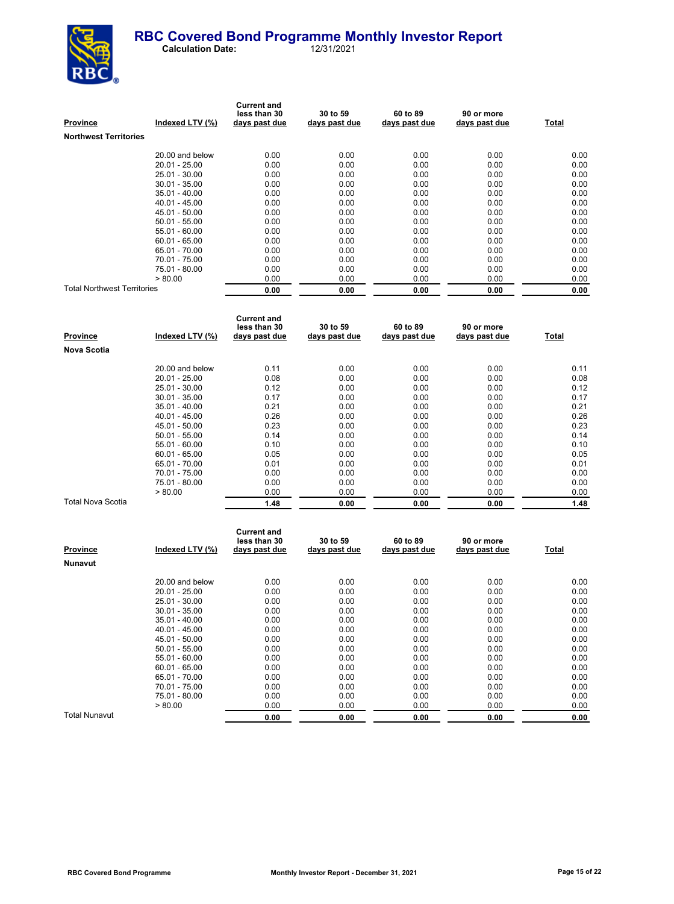

| <b>Province</b>                    | Indexed LTV (%) | <b>Current and</b><br>less than 30<br>days past due | 30 to 59<br>days past due | 60 to 89<br>days past due | 90 or more<br>days past due | Total |
|------------------------------------|-----------------|-----------------------------------------------------|---------------------------|---------------------------|-----------------------------|-------|
| <b>Northwest Territories</b>       |                 |                                                     |                           |                           |                             |       |
|                                    | 20.00 and below | 0.00                                                | 0.00                      | 0.00                      | 0.00                        | 0.00  |
|                                    | 20.01 - 25.00   | 0.00                                                | 0.00                      | 0.00                      | 0.00                        | 0.00  |
|                                    | 25.01 - 30.00   | 0.00                                                | 0.00                      | 0.00                      | 0.00                        | 0.00  |
|                                    | $30.01 - 35.00$ | 0.00                                                | 0.00                      | 0.00                      | 0.00                        | 0.00  |
|                                    | $35.01 - 40.00$ | 0.00                                                | 0.00                      | 0.00                      | 0.00                        | 0.00  |
|                                    | $40.01 - 45.00$ | 0.00                                                | 0.00                      | 0.00                      | 0.00                        | 0.00  |
|                                    | 45.01 - 50.00   | 0.00                                                | 0.00                      | 0.00                      | 0.00                        | 0.00  |
|                                    | $50.01 - 55.00$ | 0.00                                                | 0.00                      | 0.00                      | 0.00                        | 0.00  |
|                                    | 55.01 - 60.00   | 0.00                                                | 0.00                      | 0.00                      | 0.00                        | 0.00  |
|                                    | $60.01 - 65.00$ | 0.00                                                | 0.00                      | 0.00                      | 0.00                        | 0.00  |
|                                    | 65.01 - 70.00   | 0.00                                                | 0.00                      | 0.00                      | 0.00                        | 0.00  |
|                                    | 70.01 - 75.00   | 0.00                                                | 0.00                      | 0.00                      | 0.00                        | 0.00  |
|                                    | 75.01 - 80.00   | 0.00                                                | 0.00                      | 0.00                      | 0.00                        | 0.00  |
|                                    | > 80.00         | 0.00                                                | 0.00                      | 0.00                      | 0.00                        | 0.00  |
| <b>Total Northwest Territories</b> |                 | 0.00                                                | 0.00                      | 0.00                      | 0.00                        | 0.00  |

| Province          | Indexed LTV (%) | <b>Current and</b><br>less than 30<br>days past due | 30 to 59<br>days past due | 60 to 89<br>days past due | 90 or more<br>days past due | Total |
|-------------------|-----------------|-----------------------------------------------------|---------------------------|---------------------------|-----------------------------|-------|
| Nova Scotia       |                 |                                                     |                           |                           |                             |       |
|                   | 20.00 and below | 0.11                                                | 0.00                      | 0.00                      | 0.00                        | 0.11  |
|                   | 20.01 - 25.00   | 0.08                                                | 0.00                      | 0.00                      | 0.00                        | 0.08  |
|                   | 25.01 - 30.00   | 0.12                                                | 0.00                      | 0.00                      | 0.00                        | 0.12  |
|                   | $30.01 - 35.00$ | 0.17                                                | 0.00                      | 0.00                      | 0.00                        | 0.17  |
|                   | $35.01 - 40.00$ | 0.21                                                | 0.00                      | 0.00                      | 0.00                        | 0.21  |
|                   | $40.01 - 45.00$ | 0.26                                                | 0.00                      | 0.00                      | 0.00                        | 0.26  |
|                   | 45.01 - 50.00   | 0.23                                                | 0.00                      | 0.00                      | 0.00                        | 0.23  |
|                   | $50.01 - 55.00$ | 0.14                                                | 0.00                      | 0.00                      | 0.00                        | 0.14  |
|                   | 55.01 - 60.00   | 0.10                                                | 0.00                      | 0.00                      | 0.00                        | 0.10  |
|                   | $60.01 - 65.00$ | 0.05                                                | 0.00                      | 0.00                      | 0.00                        | 0.05  |
|                   | 65.01 - 70.00   | 0.01                                                | 0.00                      | 0.00                      | 0.00                        | 0.01  |
|                   | 70.01 - 75.00   | 0.00                                                | 0.00                      | 0.00                      | 0.00                        | 0.00  |
|                   | 75.01 - 80.00   | 0.00                                                | 0.00                      | 0.00                      | 0.00                        | 0.00  |
|                   | > 80.00         | 0.00                                                | 0.00                      | 0.00                      | 0.00                        | 0.00  |
| Total Nova Scotia |                 | 1.48                                                | 0.00                      | 0.00                      | 0.00                        | 1.48  |

| <b>Province</b> | Indexed LTV (%) | <b>Current and</b><br>less than 30<br>days past due | 30 to 59<br>days past due | 60 to 89<br>days past due | 90 or more<br>days past due | Total |
|-----------------|-----------------|-----------------------------------------------------|---------------------------|---------------------------|-----------------------------|-------|
| <b>Nunavut</b>  |                 |                                                     |                           |                           |                             |       |
|                 | 20.00 and below | 0.00                                                | 0.00                      | 0.00                      | 0.00                        | 0.00  |
|                 | $20.01 - 25.00$ | 0.00                                                | 0.00                      | 0.00                      | 0.00                        | 0.00  |
|                 | 25.01 - 30.00   | 0.00                                                | 0.00                      | 0.00                      | 0.00                        | 0.00  |
|                 | $30.01 - 35.00$ | 0.00                                                | 0.00                      | 0.00                      | 0.00                        | 0.00  |
|                 | $35.01 - 40.00$ | 0.00                                                | 0.00                      | 0.00                      | 0.00                        | 0.00  |
|                 | $40.01 - 45.00$ | 0.00                                                | 0.00                      | 0.00                      | 0.00                        | 0.00  |
|                 | 45.01 - 50.00   | 0.00                                                | 0.00                      | 0.00                      | 0.00                        | 0.00  |
|                 | $50.01 - 55.00$ | 0.00                                                | 0.00                      | 0.00                      | 0.00                        | 0.00  |
|                 | $55.01 - 60.00$ | 0.00                                                | 0.00                      | 0.00                      | 0.00                        | 0.00  |
|                 | $60.01 - 65.00$ | 0.00                                                | 0.00                      | 0.00                      | 0.00                        | 0.00  |
|                 | 65.01 - 70.00   | 0.00                                                | 0.00                      | 0.00                      | 0.00                        | 0.00  |
|                 | 70.01 - 75.00   | 0.00                                                | 0.00                      | 0.00                      | 0.00                        | 0.00  |
|                 | 75.01 - 80.00   | 0.00                                                | 0.00                      | 0.00                      | 0.00                        | 0.00  |
|                 | > 80.00         | 0.00                                                | 0.00                      | 0.00                      | 0.00                        | 0.00  |
| Total Nunavut   |                 | 0.00                                                | 0.00                      | 0.00                      | 0.00                        | 0.00  |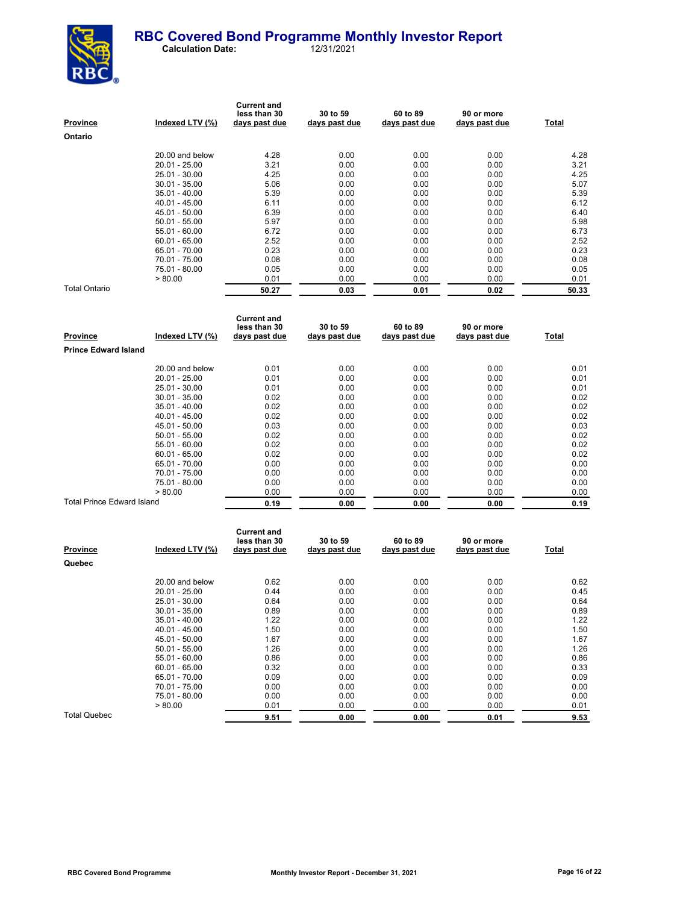

| <b>Province</b> | Indexed LTV (%) | <b>Current and</b><br>less than 30<br>days past due | 30 to 59<br>days past due | 60 to 89<br>days past due | 90 or more<br>days past due | Total |
|-----------------|-----------------|-----------------------------------------------------|---------------------------|---------------------------|-----------------------------|-------|
| Ontario         |                 |                                                     |                           |                           |                             |       |
|                 | 20.00 and below | 4.28                                                | 0.00                      | 0.00                      | 0.00                        | 4.28  |
|                 | $20.01 - 25.00$ | 3.21                                                | 0.00                      | 0.00                      | 0.00                        | 3.21  |
|                 | 25.01 - 30.00   | 4.25                                                | 0.00                      | 0.00                      | 0.00                        | 4.25  |
|                 | $30.01 - 35.00$ | 5.06                                                | 0.00                      | 0.00                      | 0.00                        | 5.07  |
|                 | $35.01 - 40.00$ | 5.39                                                | 0.00                      | 0.00                      | 0.00                        | 5.39  |
|                 | $40.01 - 45.00$ | 6.11                                                | 0.00                      | 0.00                      | 0.00                        | 6.12  |
|                 | 45.01 - 50.00   | 6.39                                                | 0.00                      | 0.00                      | 0.00                        | 6.40  |
|                 | $50.01 - 55.00$ | 5.97                                                | 0.00                      | 0.00                      | 0.00                        | 5.98  |
|                 | 55.01 - 60.00   | 6.72                                                | 0.00                      | 0.00                      | 0.00                        | 6.73  |
|                 | $60.01 - 65.00$ | 2.52                                                | 0.00                      | 0.00                      | 0.00                        | 2.52  |
|                 | 65.01 - 70.00   | 0.23                                                | 0.00                      | 0.00                      | 0.00                        | 0.23  |
|                 | 70.01 - 75.00   | 0.08                                                | 0.00                      | 0.00                      | 0.00                        | 0.08  |
|                 | 75.01 - 80.00   | 0.05                                                | 0.00                      | 0.00                      | 0.00                        | 0.05  |
|                 | > 80.00         | 0.01                                                | 0.00                      | 0.00                      | 0.00                        | 0.01  |
| Total Ontario   |                 | 50.27                                               | 0.03                      | 0.01                      | 0.02                        | 50.33 |

| <b>Province</b>                   | Indexed LTV (%) | <b>Current and</b><br>less than 30<br>days past due | 30 to 59<br>days past due | 60 to 89<br>days past due | 90 or more<br>days past due | Total |
|-----------------------------------|-----------------|-----------------------------------------------------|---------------------------|---------------------------|-----------------------------|-------|
| <b>Prince Edward Island</b>       |                 |                                                     |                           |                           |                             |       |
|                                   | 20.00 and below | 0.01                                                | 0.00                      | 0.00                      | 0.00                        | 0.01  |
|                                   | $20.01 - 25.00$ | 0.01                                                | 0.00                      | 0.00                      | 0.00                        | 0.01  |
|                                   | 25.01 - 30.00   | 0.01                                                | 0.00                      | 0.00                      | 0.00                        | 0.01  |
|                                   | $30.01 - 35.00$ | 0.02                                                | 0.00                      | 0.00                      | 0.00                        | 0.02  |
|                                   | $35.01 - 40.00$ | 0.02                                                | 0.00                      | 0.00                      | 0.00                        | 0.02  |
|                                   | $40.01 - 45.00$ | 0.02                                                | 0.00                      | 0.00                      | 0.00                        | 0.02  |
|                                   | 45.01 - 50.00   | 0.03                                                | 0.00                      | 0.00                      | 0.00                        | 0.03  |
|                                   | $50.01 - 55.00$ | 0.02                                                | 0.00                      | 0.00                      | 0.00                        | 0.02  |
|                                   | $55.01 - 60.00$ | 0.02                                                | 0.00                      | 0.00                      | 0.00                        | 0.02  |
|                                   | $60.01 - 65.00$ | 0.02                                                | 0.00                      | 0.00                      | 0.00                        | 0.02  |
|                                   | 65.01 - 70.00   | 0.00                                                | 0.00                      | 0.00                      | 0.00                        | 0.00  |
|                                   | 70.01 - 75.00   | 0.00                                                | 0.00                      | 0.00                      | 0.00                        | 0.00  |
|                                   | 75.01 - 80.00   | 0.00                                                | 0.00                      | 0.00                      | 0.00                        | 0.00  |
|                                   | > 80.00         | 0.00                                                | 0.00                      | 0.00                      | 0.00                        | 0.00  |
| <b>Total Prince Edward Island</b> |                 | 0.19                                                | 0.00                      | 0.00                      | 0.00                        | 0.19  |

| <b>Province</b>     | Indexed LTV (%) | <b>Current and</b><br>less than 30<br>days past due | 30 to 59<br>days past due | 60 to 89<br>days past due | 90 or more<br>days past due | <b>Total</b> |
|---------------------|-----------------|-----------------------------------------------------|---------------------------|---------------------------|-----------------------------|--------------|
| Quebec              |                 |                                                     |                           |                           |                             |              |
|                     | 20.00 and below | 0.62                                                | 0.00                      | 0.00                      | 0.00                        | 0.62         |
|                     | $20.01 - 25.00$ | 0.44                                                | 0.00                      | 0.00                      | 0.00                        | 0.45         |
|                     | 25.01 - 30.00   | 0.64                                                | 0.00                      | 0.00                      | 0.00                        | 0.64         |
|                     | $30.01 - 35.00$ | 0.89                                                | 0.00                      | 0.00                      | 0.00                        | 0.89         |
|                     | $35.01 - 40.00$ | 1.22                                                | 0.00                      | 0.00                      | 0.00                        | 1.22         |
|                     | $40.01 - 45.00$ | 1.50                                                | 0.00                      | 0.00                      | 0.00                        | 1.50         |
|                     | 45.01 - 50.00   | 1.67                                                | 0.00                      | 0.00                      | 0.00                        | 1.67         |
|                     | $50.01 - 55.00$ | 1.26                                                | 0.00                      | 0.00                      | 0.00                        | 1.26         |
|                     | 55.01 - 60.00   | 0.86                                                | 0.00                      | 0.00                      | 0.00                        | 0.86         |
|                     | $60.01 - 65.00$ | 0.32                                                | 0.00                      | 0.00                      | 0.00                        | 0.33         |
|                     | 65.01 - 70.00   | 0.09                                                | 0.00                      | 0.00                      | 0.00                        | 0.09         |
|                     | 70.01 - 75.00   | 0.00                                                | 0.00                      | 0.00                      | 0.00                        | 0.00         |
|                     | 75.01 - 80.00   | 0.00                                                | 0.00                      | 0.00                      | 0.00                        | 0.00         |
|                     | > 80.00         | 0.01                                                | 0.00                      | 0.00                      | 0.00                        | 0.01         |
| <b>Total Quebec</b> |                 | 9.51                                                | 0.00                      | 0.00                      | 0.01                        | 9.53         |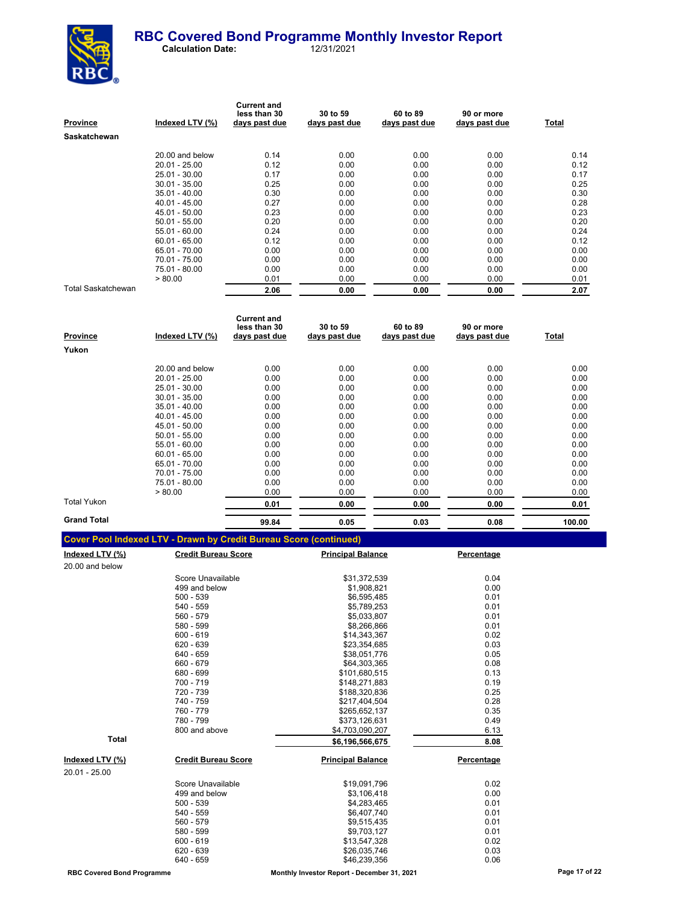

| Province           | Indexed LTV (%) | <b>Current and</b><br>less than 30<br>days past due | 30 to 59<br>days past due | 60 to 89<br>days past due | 90 or more<br>days past due | Total |
|--------------------|-----------------|-----------------------------------------------------|---------------------------|---------------------------|-----------------------------|-------|
| Saskatchewan       |                 |                                                     |                           |                           |                             |       |
|                    | 20.00 and below | 0.14                                                | 0.00                      | 0.00                      | 0.00                        | 0.14  |
|                    | $20.01 - 25.00$ | 0.12                                                | 0.00                      | 0.00                      | 0.00                        | 0.12  |
|                    | 25.01 - 30.00   | 0.17                                                | 0.00                      | 0.00                      | 0.00                        | 0.17  |
|                    | $30.01 - 35.00$ | 0.25                                                | 0.00                      | 0.00                      | 0.00                        | 0.25  |
|                    | $35.01 - 40.00$ | 0.30                                                | 0.00                      | 0.00                      | 0.00                        | 0.30  |
|                    | $40.01 - 45.00$ | 0.27                                                | 0.00                      | 0.00                      | 0.00                        | 0.28  |
|                    | 45.01 - 50.00   | 0.23                                                | 0.00                      | 0.00                      | 0.00                        | 0.23  |
|                    | $50.01 - 55.00$ | 0.20                                                | 0.00                      | 0.00                      | 0.00                        | 0.20  |
|                    | $55.01 - 60.00$ | 0.24                                                | 0.00                      | 0.00                      | 0.00                        | 0.24  |
|                    | $60.01 - 65.00$ | 0.12                                                | 0.00                      | 0.00                      | 0.00                        | 0.12  |
|                    | 65.01 - 70.00   | 0.00                                                | 0.00                      | 0.00                      | 0.00                        | 0.00  |
|                    | 70.01 - 75.00   | 0.00                                                | 0.00                      | 0.00                      | 0.00                        | 0.00  |
|                    | 75.01 - 80.00   | 0.00                                                | 0.00                      | 0.00                      | 0.00                        | 0.00  |
|                    | > 80.00         | 0.01                                                | 0.00                      | 0.00                      | 0.00                        | 0.01  |
| Total Saskatchewan |                 | 2.06                                                | 0.00                      | 0.00                      | 0.00                        | 2.07  |

| <b>Province</b>    | Indexed LTV (%) | <b>Current and</b><br>less than 30<br>days past due | 30 to 59<br>days past due | 60 to 89<br>days past due | 90 or more<br>days past due | Total  |
|--------------------|-----------------|-----------------------------------------------------|---------------------------|---------------------------|-----------------------------|--------|
| Yukon              |                 |                                                     |                           |                           |                             |        |
|                    | 20.00 and below | 0.00                                                | 0.00                      | 0.00                      | 0.00                        | 0.00   |
|                    | $20.01 - 25.00$ | 0.00                                                | 0.00                      | 0.00                      | 0.00                        | 0.00   |
|                    | 25.01 - 30.00   | 0.00                                                | 0.00                      | 0.00                      | 0.00                        | 0.00   |
|                    | $30.01 - 35.00$ | 0.00                                                | 0.00                      | 0.00                      | 0.00                        | 0.00   |
|                    | $35.01 - 40.00$ | 0.00                                                | 0.00                      | 0.00                      | 0.00                        | 0.00   |
|                    | $40.01 - 45.00$ | 0.00                                                | 0.00                      | 0.00                      | 0.00                        | 0.00   |
|                    | 45.01 - 50.00   | 0.00                                                | 0.00                      | 0.00                      | 0.00                        | 0.00   |
|                    | $50.01 - 55.00$ | 0.00                                                | 0.00                      | 0.00                      | 0.00                        | 0.00   |
|                    | $55.01 - 60.00$ | 0.00                                                | 0.00                      | 0.00                      | 0.00                        | 0.00   |
|                    | $60.01 - 65.00$ | 0.00                                                | 0.00                      | 0.00                      | 0.00                        | 0.00   |
|                    | 65.01 - 70.00   | 0.00                                                | 0.00                      | 0.00                      | 0.00                        | 0.00   |
|                    | 70.01 - 75.00   | 0.00                                                | 0.00                      | 0.00                      | 0.00                        | 0.00   |
|                    | 75.01 - 80.00   | 0.00                                                | 0.00                      | 0.00                      | 0.00                        | 0.00   |
|                    | > 80.00         | 0.00                                                | 0.00                      | 0.00                      | 0.00                        | 0.00   |
| Total Yukon        |                 | 0.01                                                | 0.00                      | 0.00                      | 0.00                        | 0.01   |
| <b>Grand Total</b> |                 | 99.84                                               | 0.05                      | 0.03                      | 0.08                        | 100.00 |

|  | <b>Cover Pool Indexed LTV - Drawn by Credit Bureau Score (continued)</b> |  |
|--|--------------------------------------------------------------------------|--|
|  |                                                                          |  |

| <u>Indexed LTV (%)</u> | <b>Credit Bureau Score</b> | <b>Principal Balance</b> | Percentage |
|------------------------|----------------------------|--------------------------|------------|
| 20.00 and below        |                            |                          |            |
|                        | Score Unavailable          | \$31,372,539             | 0.04       |
|                        | 499 and below              | \$1,908,821              | 0.00       |
|                        | $500 - 539$                | \$6,595,485              | 0.01       |
|                        | $540 - 559$                | \$5,789,253              | 0.01       |
|                        | 560 - 579                  | \$5,033,807              | 0.01       |
|                        | 580 - 599                  | \$8,266,866              | 0.01       |
|                        | $600 - 619$                | \$14,343,367             | 0.02       |
|                        | 620 - 639                  | \$23,354,685             | 0.03       |
|                        | 640 - 659                  | \$38,051,776             | 0.05       |
|                        | 660 - 679                  | \$64,303,365             | 0.08       |
|                        | 680 - 699                  | \$101,680,515            | 0.13       |
|                        | 700 - 719                  | \$148,271,883            | 0.19       |
|                        | 720 - 739                  | \$188,320,836            | 0.25       |
|                        | 740 - 759                  | \$217,404,504            | 0.28       |
|                        | 760 - 779                  | \$265,652,137            | 0.35       |
|                        | 780 - 799                  | \$373,126,631            | 0.49       |
|                        | 800 and above              | \$4,703,090,207          | 6.13       |
| <b>Total</b>           |                            | \$6,196,566,675          | 8.08       |
| <u>Indexed LTV (%)</u> | <b>Credit Bureau Score</b> | <b>Principal Balance</b> | Percentage |
| 20.01 - 25.00          |                            |                          |            |
|                        | Score Unavailable          | \$19,091,796             | 0.02       |
|                        | 499 and below              | \$3,106,418              | 0.00       |
|                        | $500 - 539$                | \$4,283,465              | 0.01       |
|                        | 540 - 559                  | \$6,407,740              | 0.01       |
|                        | 560 - 579                  | \$9,515,435              | 0.01       |
|                        | 580 - 599                  | \$9,703,127              | 0.01       |
|                        | $600 - 619$                | \$13,547,328             | 0.02       |
|                        | 620 - 639                  | \$26,035,746             | 0.03       |
|                        | 640 - 659                  | \$46,239,356             | 0.06       |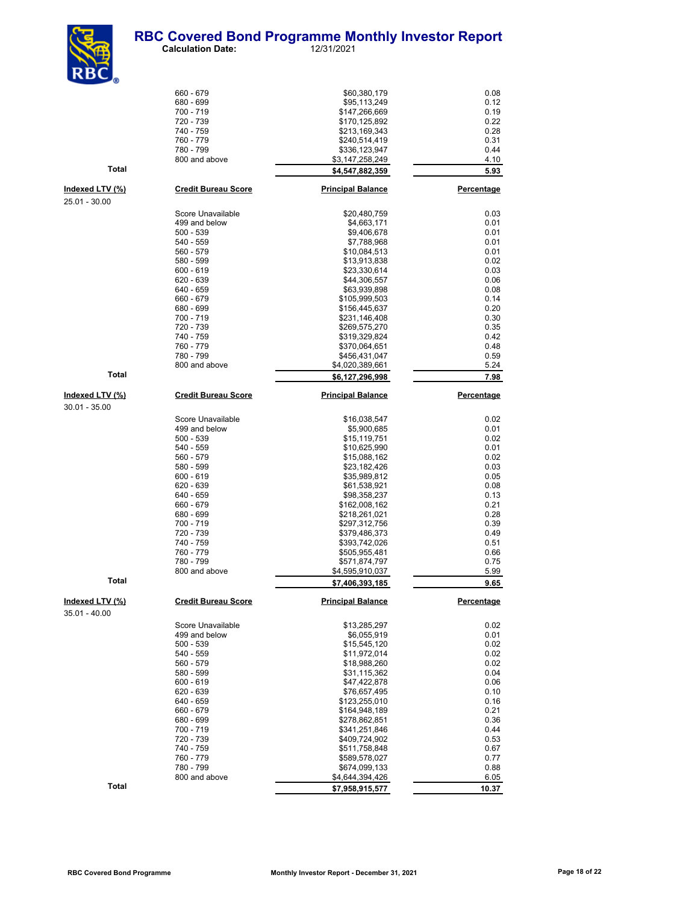#### **RBC Covered Bond Programme Monthly Investor Report**<br>Calculation Date: 12/31/2021 **Calculation Date:**



 $660 - 679$  0.08<br> $680 - 699$  0.12 680 - 699 \$95,113,249 0.12 700 - 719 \$147,266,669 0.19 720 - 739 \$170,125,892 0.22 740 - 759 \$213,169,343 0.28 760 - 779 \$240,514,419 0.31 780 - 799<br>800 and above 6.45 - 1.45 (\$3,147,258,249) \$3,147,258,249 4.10 **Total \$4,547,882,359 5.93 Indexed LTV (%) Credit Bureau Score Principal Balance Percentage** Score Unavailable \$20,480,759 0.03 499 and below \$4,663,171 0.01 500 - 539 \$9,406,678 0.01 540 - 559 \$7,788,968 0.01 560 - 579 \$10,084,513 0.01 580 - 599 \$13,913,838 0.02 600 - 619 \$23,330,614 0.03  $$44,306,557$  0.06<br>  $$649$  - 659 0.06 \$63,939,898 0.08 0.08  $640 - 659$ <br>  $660 - 679$ <br>  $660 - 679$ <br>  $660 - 679$ <br>  $660 - 679$ <br>  $660 - 679$ 660 - 679 \$105,999,503 0.14 680 - 699<br>700 - 719<br>8231.146.408  $$231,146,408$  0.30 720 - 739 \$269,575,270 0.35 740 - 759 \$319,329,824 0.42 760 - 779 \$370,064,651 0.48 780 - 799 \$456,431,047 0.59 \$4,020,389,661 **Total \$6,127,296,998 7.98 Indexed LTV (%) Credit Bureau Score Principal Balance Percentage** Score Unavailable 1.1 (1992)<br>
199 and below 1.1 (1995) 1.1 (1995) 1.1 (1998) 1.1 (1998) 1.1 (1998) 1.1 (1998) 1.1 (1998) 1.1 (1998) 1.1 (1<br>
1.02 (1998) 1.1 (1998) 1.1 (1998) 1.1 (1998) 1.1 (1998) 1.1 (1998) 1.1 (1998) 1.1 499 and below  $$5,900,685$  0.01 0.01 0.02 \$5,900,685 0.01 0.02 500 - 539<br>540 - 559<br>\$10,625,990<br>\$10,625,990 540 - 559 \$10,625,990 0.01 560 - 579 \$15,088,162 0.02 580 - 599 \$23,182,426 0.03 600 - 619 \$35,989,812 0.05 620 - 639 \$61,538,921 0.08 640 - 659<br>660 - 679<br>8162 008 162 660 - 679 \$162,008,162 0.21 680 - 699 \$218,261,021 0.28 700 - 719 \$297,312,756 0.39 720 - 739 \$379,486,373 0.49 740 - 759 \$393,742,026 0.51 760 - 779 \$505,955,481 0.66 \$571,874,797 800 and above **6.4,595,910,037** 5.99<br>\$7,406,393,18<u>5</u> 5.65 **1.45 1.45 9.65 9.65 9.65 9.65 9.65 9.65 9.65 9.65 9.65 9.65 9.65 9.65 Indexed LTV (%) Credit Bureau Score Principal Balance Percentage** Score Unavailable \$13,285,297 0.02 499 and below  $$6,055,919$  0.01  $$15,545,120$  0.02 0.02 500 - 539 \$15,545,120 0.02 540 - 559 \$11,972,014 0.02 560 - 579 \$18,988,260 0.02 580 - 599 \$31,115,362 0.04  $600 - 619$  0.06<br>  $620 - 639$  0.10<br>  $620 - 639$  0.10  $620 - 639$   $676,657,495$  0.10<br>  $640 - 659$  0.16 640 - 659 \$123,255,010 \$123,255,010 0.16<br>660 - 679 \$164,948,189 \$164,948,189 0.21 660 - 679 \$164,948,189 0.21 680 - 699 \$278,862,851 0.36 700 - 719 \$341,251,846 0.44 720 - 739 \$409,724,902 0.53 740 - 759 \$511,758,848 0.67 760 - 779 \$589,578,027 0.77

25.01 - 30.00

30.01 - 35.00

35.01 - 40.00

**Total \$7,958,915,577 10.37**

780 - 799 \$674,099,133 0.88 \$4,644,394,426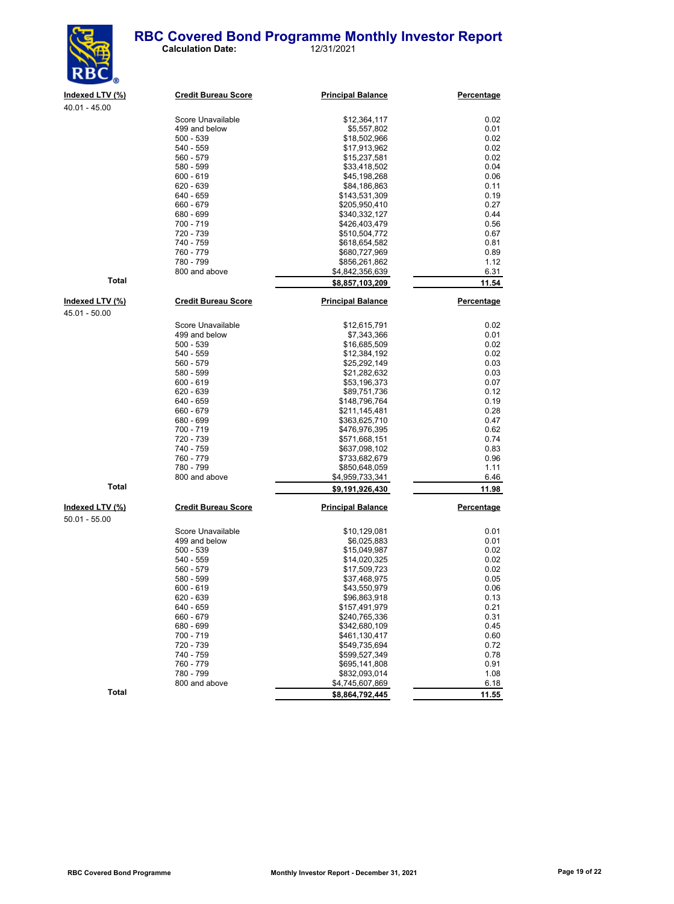

40.01 - 45.00

 **Calculation Date:** 12/31/2021

**Indexed LTV (%) Credit Bureau Score Principal Balance Percentage**

| סט.טו - <del>ו</del> ט.טע |                            |                                    |            |
|---------------------------|----------------------------|------------------------------------|------------|
|                           | Score Unavailable          | \$12,364,117                       | 0.02       |
|                           | 499 and below              | \$5,557,802                        | 0.01       |
|                           | 500 - 539                  | \$18,502,966                       | 0.02       |
|                           | 540 - 559                  | \$17,913,962                       | 0.02       |
|                           | 560 - 579                  | \$15,237,581                       | 0.02       |
|                           | 580 - 599                  | \$33,418,502                       | 0.04       |
|                           | 600 - 619                  | \$45,198,268                       | 0.06       |
|                           | 620 - 639                  | \$84,186,863                       | 0.11       |
|                           | 640 - 659                  | \$143,531,309                      | 0.19       |
|                           | 660 - 679                  | \$205,950,410                      | 0.27       |
|                           | 680 - 699                  | \$340,332,127                      | 0.44       |
|                           | 700 - 719                  | \$426,403,479                      | 0.56       |
|                           | 720 - 739                  | \$510,504,772                      | 0.67       |
|                           | 740 - 759                  | \$618,654,582                      | 0.81       |
|                           | 760 - 779                  | \$680,727,969                      | 0.89       |
|                           | 780 - 799                  | \$856,261,862                      | 1.12       |
|                           | 800 and above              | \$4,842,356,639                    | 6.31       |
| <b>Total</b>              |                            | \$8,857,103,209                    | 11.54      |
| Indexed LTV (%)           | <b>Credit Bureau Score</b> | <b>Principal Balance</b>           | Percentage |
| 45.01 - 50.00             |                            |                                    |            |
|                           | Score Unavailable          | \$12,615,791                       | 0.02       |
|                           | 499 and below              | \$7,343,366                        | 0.01       |
|                           | $500 - 539$                | \$16,685,509                       | 0.02       |
|                           | 540 - 559                  | \$12,384,192                       | 0.02       |
|                           | 560 - 579                  | \$25,292,149                       | 0.03       |
|                           | 580 - 599                  | \$21,282,632                       | 0.03       |
|                           | 600 - 619                  | \$53,196,373                       | 0.07       |
|                           | 620 - 639                  | \$89,751,736                       | 0.12       |
|                           | 640 - 659                  | \$148,796,764                      | 0.19       |
|                           | 660 - 679                  | \$211,145,481                      | 0.28       |
|                           | 680 - 699                  | \$363,625,710                      | 0.47       |
|                           | 700 - 719                  | \$476,976,395                      | 0.62       |
|                           | 720 - 739                  | \$571,668,151                      | 0.74       |
|                           | 740 - 759                  | \$637,098,102                      | 0.83       |
|                           | 760 - 779                  | \$733,682,679                      | 0.96       |
|                           | 780 - 799                  | \$850,648,059                      | 1.11       |
|                           | 800 and above              |                                    | 6.46       |
| <b>Total</b>              |                            | \$4,959,733,341<br>\$9,191,926,430 | 11.98      |
|                           |                            |                                    |            |
| Indexed LTV (%)           | <b>Credit Bureau Score</b> | <b>Principal Balance</b>           | Percentage |
| $50.01 - 55.00$           |                            |                                    |            |
|                           | Score Unavailable          | \$10,129,081                       | 0.01       |
|                           | 499 and below              | \$6,025,883                        | 0.01       |
|                           | 500 - 539                  | \$15,049,987                       | 0.02       |
|                           | 540 - 559                  | \$14,020,325                       | 0.02       |
|                           | 560 - 579                  | \$17,509,723                       | 0.02       |
|                           | 580 - 599                  | \$37,468,975                       | 0.05       |
|                           | $600 - 619$                | \$43,550,979                       | 0.06       |
|                           | 620 - 639                  | \$96,863,918                       | 0.13       |
|                           | 640 - 659                  | \$157,491,979                      | 0.21       |
|                           | 660 - 679                  | \$240,765,336                      | 0.31       |
|                           | 680 - 699                  | \$342,680,109                      | 0.45       |
|                           | 700 - 719                  | \$461,130,417                      | 0.60       |
|                           | 720 - 739                  | \$549,735,694                      | 0.72       |
|                           | 740 - 759                  | \$599,527,349                      | 0.78       |
|                           | 760 - 779                  | \$695,141,808                      | 0.91       |
|                           | 780 - 799                  | \$832,093,014                      | 1.08       |
| <b>Total</b>              | 800 and above              | \$4,745,607,869                    | 6.18       |
|                           |                            | \$8,864,792,445                    | 11.55      |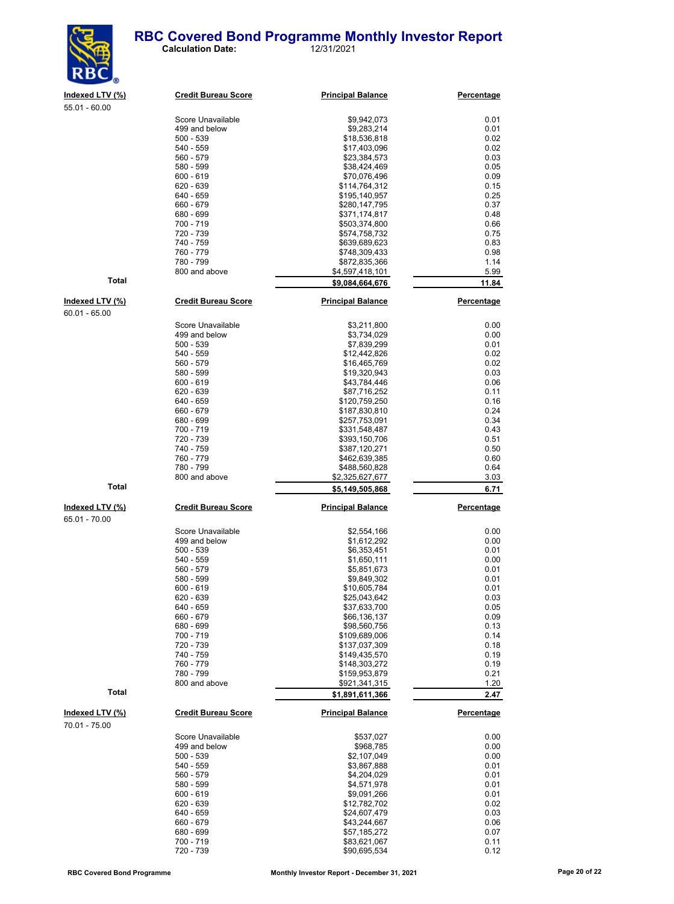#### **RBC Covered Bond Programme Monthly Investor Report**<br>
12/31/2021 **Calculation Date:**



| 55.01 - 60.00                    |                                    |                                    |                   |
|----------------------------------|------------------------------------|------------------------------------|-------------------|
|                                  | Score Unavailable                  | \$9,942,073                        | 0.01              |
|                                  | 499 and below                      | \$9,283,214                        | 0.01              |
|                                  | $500 - 539$                        | \$18,536,818                       | 0.02              |
|                                  | 540 - 559                          | \$17,403,096                       | 0.02              |
|                                  | 560 - 579                          | \$23,384,573                       | 0.03              |
|                                  | 580 - 599                          | \$38,424,469                       | 0.05              |
|                                  | $600 - 619$<br>620 - 639           | \$70,076,496<br>\$114,764,312      | 0.09<br>0.15      |
|                                  | 640 - 659                          | \$195,140,957                      | 0.25              |
|                                  | 660 - 679                          | \$280,147,795                      | 0.37              |
|                                  | 680 - 699                          | \$371,174,817                      | 0.48              |
|                                  | 700 - 719                          | \$503,374,800                      | 0.66              |
|                                  | 720 - 739                          | \$574,758,732                      | 0.75              |
|                                  | 740 - 759                          | \$639,689,623                      | 0.83              |
|                                  | 760 - 779                          | \$748,309,433                      | 0.98              |
|                                  | 780 - 799<br>800 and above         | \$872,835,366                      | 1.14<br>5.99      |
| <b>Total</b>                     |                                    | \$4,597,418,101<br>\$9,084,664,676 | 11.84             |
|                                  |                                    |                                    |                   |
| Indexed LTV (%)<br>60.01 - 65.00 | <b>Credit Bureau Score</b>         | <b>Principal Balance</b>           | Percentage        |
|                                  | Score Unavailable                  | \$3,211,800                        | 0.00              |
|                                  | 499 and below                      | \$3,734,029                        | 0.00              |
|                                  | $500 - 539$                        | \$7,839,299                        | 0.01              |
|                                  | 540 - 559<br>560 - 579             | \$12,442,826<br>\$16,465,769       | 0.02<br>0.02      |
|                                  | 580 - 599                          | \$19,320,943                       | 0.03              |
|                                  | $600 - 619$                        | \$43,784,446                       | 0.06              |
|                                  | 620 - 639                          | \$87,716,252                       | 0.11              |
|                                  | 640 - 659                          | \$120,759,250                      | 0.16              |
|                                  | 660 - 679                          | \$187,830,810                      | 0.24              |
|                                  | 680 - 699                          | \$257,753,091                      | 0.34              |
|                                  | 700 - 719                          | \$331,548,487                      | 0.43              |
|                                  | 720 - 739                          | \$393,150,706                      | 0.51              |
|                                  | 740 - 759<br>760 - 779             | \$387,120,271                      | 0.50<br>0.60      |
|                                  | 780 - 799                          | \$462,639,385<br>\$488,560,828     | 0.64              |
|                                  | 800 and above                      | \$2,325,627,677                    | 3.03              |
| Total                            |                                    | \$5,149,505,868                    | 6.71              |
| Indexed LTV (%)                  | <b>Credit Bureau Score</b>         | <b>Principal Balance</b>           | <b>Percentage</b> |
| 65.01 - 70.00                    |                                    |                                    |                   |
|                                  |                                    |                                    |                   |
|                                  | Score Unavailable<br>499 and below | \$2,554,166<br>\$1,612,292         | 0.00<br>0.00      |
|                                  | $500 - 539$                        | \$6,353,451                        | 0.01              |
|                                  | 540 - 559                          | \$1,650,111                        | 0.00              |
|                                  | 560 - 579                          | \$5,851,673                        | 0.01              |
|                                  | 580 - 599                          | \$9,849,302                        | 0.01              |
|                                  | $600 - 619$                        | \$10,605,784                       | 0.01              |
|                                  | 620 - 639                          | \$25,043,642                       | 0.03              |
|                                  | 640 - 659                          | \$37,633,700                       | 0.05              |
|                                  | 660 - 679                          | \$66,136,137                       | 0.09              |
|                                  | 680 - 699                          | \$98,560,756                       | 0.13              |
|                                  | 700 - 719<br>720 - 739             | \$109,689,006<br>\$137,037,309     | 0.14<br>0.18      |
|                                  | 740 - 759                          | \$149,435,570                      | 0.19              |
|                                  | 760 - 779                          | \$148,303,272                      | 0.19              |
|                                  | 780 - 799                          | \$159,953,879                      | 0.21              |
|                                  | 800 and above                      | \$921,341,315                      | 1.20              |
| Total                            |                                    | \$1,891,611,366                    | 2.47              |
| Indexed LTV (%)                  | <b>Credit Bureau Score</b>         | <b>Principal Balance</b>           | Percentage        |
| 70.01 - 75.00                    |                                    |                                    |                   |
|                                  | Score Unavailable                  | \$537,027                          | 0.00              |
|                                  | 499 and below                      | \$968,785                          | 0.00              |
|                                  | $500 - 539$                        | \$2,107,049                        | 0.00              |
|                                  | 540 - 559                          | \$3,867,888                        | 0.01              |
|                                  | 560 - 579                          | \$4,204,029                        | 0.01              |
|                                  | 580 - 599<br>$600 - 619$           | \$4,571,978                        | 0.01<br>0.01      |
|                                  | 620 - 639                          | \$9,091,266<br>\$12,782,702        | 0.02              |
|                                  |                                    |                                    |                   |
|                                  |                                    |                                    |                   |
|                                  | 640 - 659                          | \$24,607,479                       | 0.03              |
|                                  | 660 - 679<br>680 - 699             | \$43,244,667<br>\$57,185,272       | 0.06<br>0.07      |

 $65.01 -$ 

 $$90,695,534$ 

700 - 719 \$83,621,067 0.11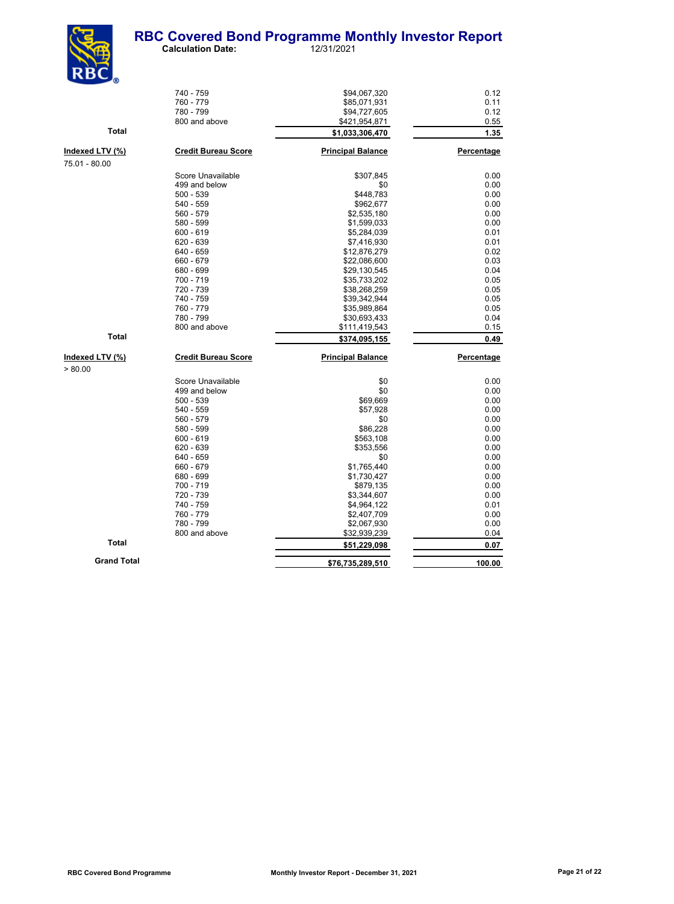

| NDU <sub>0</sub>   |                            |                          |            |
|--------------------|----------------------------|--------------------------|------------|
|                    | 740 - 759                  | \$94,067,320             | 0.12       |
|                    | 760 - 779                  | \$85,071,931             | 0.11       |
|                    | 780 - 799                  | \$94,727,605             | 0.12       |
|                    | 800 and above              | \$421,954,871            | 0.55       |
| Total              |                            | \$1,033,306,470          | 1.35       |
| Indexed LTV (%)    | <b>Credit Bureau Score</b> | <b>Principal Balance</b> | Percentage |
| 75.01 - 80.00      |                            |                          |            |
|                    | Score Unavailable          | \$307,845                | 0.00       |
|                    | 499 and below              | \$0                      | 0.00       |
|                    | 500 - 539                  | \$448,783                | 0.00       |
|                    | 540 - 559                  | \$962,677                | 0.00       |
|                    | 560 - 579                  | \$2,535,180              | 0.00       |
|                    | 580 - 599                  | \$1,599,033              | 0.00       |
|                    | $600 - 619$                | \$5,284,039              | 0.01       |
|                    | 620 - 639                  | \$7,416,930              | 0.01       |
|                    | 640 - 659                  | \$12,876,279             | 0.02       |
|                    | 660 - 679                  | \$22,086,600             | 0.03       |
|                    | 680 - 699                  | \$29,130,545             | 0.04       |
|                    | 700 - 719                  | \$35,733,202             | 0.05       |
|                    | 720 - 739                  | \$38,268,259             | 0.05       |
|                    | 740 - 759                  | \$39,342,944             | 0.05       |
|                    | 760 - 779                  | \$35,989,864             | 0.05       |
|                    | 780 - 799                  | \$30,693,433             | 0.04       |
|                    | 800 and above              | \$111,419,543            | 0.15       |
| <b>Total</b>       |                            | \$374,095,155            | 0.49       |
| Indexed LTV (%)    | <b>Credit Bureau Score</b> | <b>Principal Balance</b> | Percentage |
| > 80.00            |                            |                          |            |
|                    | Score Unavailable          | \$0                      | 0.00       |
|                    | 499 and below              | \$0                      | 0.00       |
|                    | $500 - 539$                | \$69,669                 | 0.00       |
|                    | 540 - 559                  | \$57,928                 | 0.00       |
|                    | 560 - 579                  | \$0                      | 0.00       |
|                    | 580 - 599                  | \$86,228                 | 0.00       |
|                    | $600 - 619$                | \$563,108                | 0.00       |
|                    | 620 - 639                  | \$353,556                | 0.00       |
|                    | 640 - 659                  | \$0                      | 0.00       |
|                    | 660 - 679                  | \$1,765,440              | 0.00       |
|                    | 680 - 699                  | \$1,730,427              | 0.00       |
|                    | 700 - 719                  | \$879,135                | 0.00       |
|                    | 720 - 739                  | \$3,344,607              | 0.00       |
|                    | 740 - 759                  | \$4,964,122              | 0.01       |
|                    | 760 - 779                  | \$2,407,709              | 0.00       |
|                    | 780 - 799                  | \$2,067,930              | 0.00       |
|                    | 800 and above              | \$32,939,239             | 0.04       |
| Total              |                            | \$51,229,098             | 0.07       |
| <b>Grand Total</b> |                            | \$76,735,289,510         | 100.00     |
|                    |                            |                          |            |